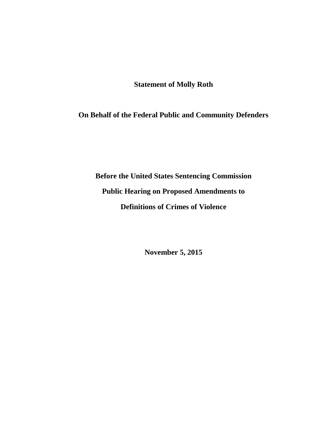**Statement of Molly Roth**

**On Behalf of the Federal Public and Community Defenders**

**Before the United States Sentencing Commission Public Hearing on Proposed Amendments to Definitions of Crimes of Violence**

**November 5, 2015**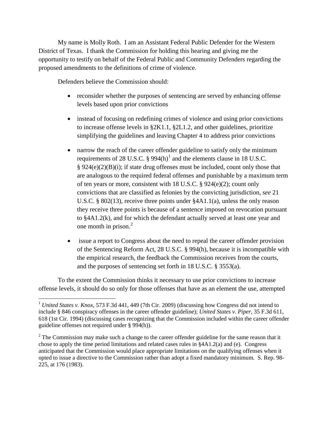My name is Molly Roth. I am an Assistant Federal Public Defender for the Western District of Texas. I thank the Commission for holding this hearing and giving me the opportunity to testify on behalf of the Federal Public and Community Defenders regarding the proposed amendments to the definitions of crime of violence.

Defenders believe the Commission should:

- reconsider whether the purposes of sentencing are served by enhancing offense levels based upon prior convictions
- instead of focusing on redefining crimes of violence and using prior convictions to increase offense levels in §2K1.1, §2L1.2, and other guidelines, prioritize simplifying the guidelines and leaving Chapter 4 to address prior convictions
- narrow the reach of the career offender guideline to satisfy only the minimum requirements of 28 U.S.C.  $\S$  994(h)<sup>1</sup> and the elements clause in 18 U.S.C.  $§ 924(e)(2)(B)(i);$  if state drug offenses must be included, count only those that are analogous to the required federal offenses and punishable by a maximum term of ten years or more, consistent with 18 U.S.C. § 924(e)(2); count only convictions that are classified as felonies by the convicting jurisdiction, *see* 21 U.S.C. § 802(13), receive three points under §4A1.1(a), unless the only reason they receive three points is because of a sentence imposed on revocation pursuant to §4A1.2(k), and for which the defendant actually served at least one year and one month in prison. 2
- issue a report to Congress about the need to repeal the career offender provision of the Sentencing Reform Act, 28 U.S.C. § 994(h), because it is incompatible with the empirical research, the feedback the Commission receives from the courts, and the purposes of sentencing set forth in 18 U.S.C. § 3553(a).

To the extent the Commission thinks it necessary to use prior convictions to increase offense levels, it should do so only for those offenses that have as an element the use, attempted

 <sup>1</sup> *United States v. Knox*, 573 F.3d 441, 449 (7th Cir. 2009) (discussing how Congress did not intend to include § 846 conspiracy offenses in the career offender guideline); *United States v. Piper*, 35 F.3d 611, 618 (1st Cir. 1994) (discussing cases recognizing that the Commission included within the career offender guideline offenses not required under § 994(h)).

 $2^2$  The Commission may make such a change to the career offender guideline for the same reason that it chose to apply the time period limitations and related cases rules in §4A1.2(a) and (e). Congress anticipated that the Commission would place appropriate limitations on the qualifying offenses when it opted to issue a directive to the Commission rather than adopt a fixed mandatory minimum. S. Rep. 98- 225, at 176 (1983).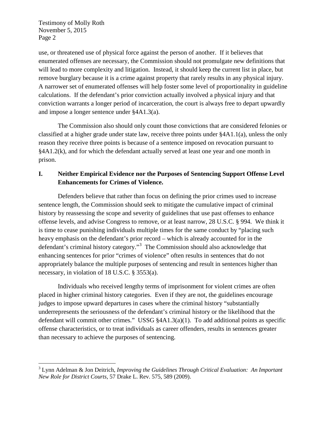use, or threatened use of physical force against the person of another. If it believes that enumerated offenses are necessary, the Commission should not promulgate new definitions that will lead to more complexity and litigation. Instead, it should keep the current list in place, but remove burglary because it is a crime against property that rarely results in any physical injury. A narrower set of enumerated offenses will help foster some level of proportionality in guideline calculations. If the defendant's prior conviction actually involved a physical injury and that conviction warrants a longer period of incarceration, the court is always free to depart upwardly and impose a longer sentence under §4A1.3(a).

The Commission also should only count those convictions that are considered felonies or classified at a higher grade under state law, receive three points under §4A1.1(a), unless the only reason they receive three points is because of a sentence imposed on revocation pursuant to §4A1.2(k), and for which the defendant actually served at least one year and one month in prison.

#### **I. Neither Empirical Evidence nor the Purposes of Sentencing Support Offense Level Enhancements for Crimes of Violence.**

Defenders believe that rather than focus on defining the prior crimes used to increase sentence length, the Commission should seek to mitigate the cumulative impact of criminal history by reassessing the scope and severity of guidelines that use past offenses to enhance offense levels, and advise Congress to remove, or at least narrow, 28 U.S.C. § 994. We think it is time to cease punishing individuals multiple times for the same conduct by "placing such heavy emphasis on the defendant's prior record – which is already accounted for in the defendant's criminal history category."<sup>3</sup> The Commission should also acknowledge that enhancing sentences for prior "crimes of violence" often results in sentences that do not appropriately balance the multiple purposes of sentencing and result in sentences higher than necessary, in violation of 18 U.S.C. § 3553(a).

Individuals who received lengthy terms of imprisonment for violent crimes are often placed in higher criminal history categories. Even if they are not, the guidelines encourage judges to impose upward departures in cases where the criminal history "substantially underrepresents the seriousness of the defendant's criminal history or the likelihood that the defendant will commit other crimes." USSG  $\frac{84A1.3(a)(1)}{1}$ . To add additional points as specific offense characteristics, or to treat individuals as career offenders, results in sentences greater than necessary to achieve the purposes of sentencing.

 <sup>3</sup> Lynn Adelman & Jon Deitrich, *Improving the Guidelines Through Critical Evaluation: An Important New Role for District Courts*, 57 Drake L. Rev. 575, 589 (2009).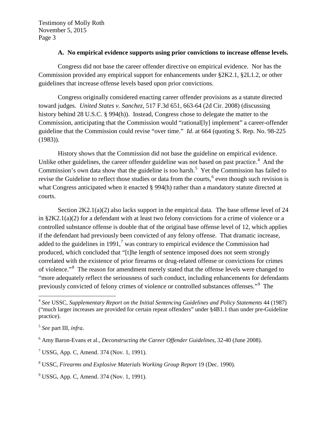#### **A. No empirical evidence supports using prior convictions to increase offense levels.**

Congress did not base the career offender directive on empirical evidence. Nor has the Commission provided any empirical support for enhancements under §2K2.1, §2L1.2, or other guidelines that increase offense levels based upon prior convictions.

Congress originally considered enacting career offender provisions as a statute directed toward judges. *United States v. Sanchez*, 517 F.3d 651, 663-64 (2d Cir. 2008) (discussing history behind 28 U.S.C. § 994(h)). Instead, Congress chose to delegate the matter to the Commission, anticipating that the Commission would "rational[ly] implement" a career-offender guideline that the Commission could revise "over time." *Id*. at 664 (quoting S. Rep. No. 98-225 (1983)).

History shows that the Commission did not base the guideline on empirical evidence. Unlike other guidelines, the career offender guideline was not based on past practice.<sup>4</sup> And the Commission's own data show that the guideline is too harsh.<sup>5</sup> Yet the Commission has failed to revise the Guideline to reflect those studies or data from the courts,<sup>6</sup> even though such revision is what Congress anticipated when it enacted § 994(h) rather than a mandatory statute directed at courts.

Section  $2K2.1(a)(2)$  also lacks support in the empirical data. The base offense level of 24 in §2K2.1(a)(2) for a defendant with at least two felony convictions for a crime of violence or a controlled substance offense is double that of the original base offense level of 12, which applies if the defendant had previously been convicted of any felony offense. That dramatic increase, added to the guidelines in 1991, $<sup>7</sup>$  was contrary to empirical evidence the Commission had</sup> produced, which concluded that "[t]he length of sentence imposed does not seem strongly correlated with the existence of prior firearms or drug-related offense or convictions for crimes of violence."<sup>8</sup> The reason for amendment merely stated that the offense levels were changed to "more adequately reflect the seriousness of such conduct, including enhancements for defendants previously convicted of felony crimes of violence or controlled substances offenses."<sup>9</sup> The

 <sup>4</sup> *See* USSC, *Supplementary Report on the Initial Sentencing Guidelines and Policy Statements* 44 (1987) ("much larger increases are provided for certain repeat offenders" under §4B1.1 than under pre-Guideline practice).

<sup>5</sup> *See* part III, *infra*.

<sup>6</sup> Amy Baron-Evans et al., *Deconstructing the Career Offender Guidelines*, 32-40 (June 2008).

 $7$  USSG, App. C, Amend. 374 (Nov. 1, 1991).

<sup>8</sup> USSC, *Firearms and Explosive Materials Working Group Report* 19 (Dec. 1990).

 $9^9$  USSG, App. C, Amend. 374 (Nov. 1, 1991).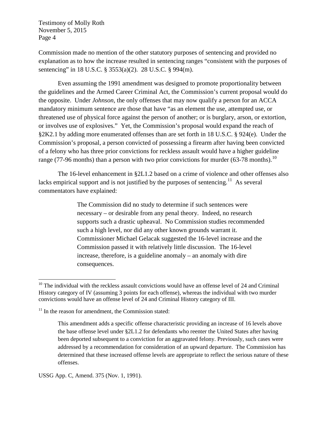Commission made no mention of the other statutory purposes of sentencing and provided no explanation as to how the increase resulted in sentencing ranges "consistent with the purposes of sentencing" in 18 U.S.C. § 3553(a)(2). 28 U.S.C. § 994(m).

Even assuming the 1991 amendment was designed to promote proportionality between the guidelines and the Armed Career Criminal Act, the Commission's current proposal would do the opposite. Under *Johnson,* the only offenses that may now qualify a person for an ACCA mandatory minimum sentence are those that have "as an element the use, attempted use, or threatened use of physical force against the person of another; or is burglary, arson, or extortion, or involves use of explosives." Yet, the Commission's proposal would expand the reach of §2K2.1 by adding more enumerated offenses than are set forth in 18 U.S.C. § 924(e). Under the Commission's proposal, a person convicted of possessing a firearm after having been convicted of a felony who has three prior convictions for reckless assault would have a higher guideline range (77-96 months) than a person with two prior convictions for murder (63-78 months).<sup>10</sup>

The 16-level enhancement in §2L1.2 based on a crime of violence and other offenses also lacks empirical support and is not justified by the purposes of sentencing.<sup>11</sup> As several commentators have explained:

> The Commission did no study to determine if such sentences were necessary – or desirable from any penal theory. Indeed, no research supports such a drastic upheaval. No Commission studies recommended such a high level, nor did any other known grounds warrant it. Commissioner Michael Gelacak suggested the 16-level increase and the Commission passed it with relatively little discussion. The 16-level increase, therefore, is a guideline anomaly – an anomaly with dire consequences.

 $10$  The individual with the reckless assault convictions would have an offense level of 24 and Criminal History category of IV (assuming 3 points for each offense), whereas the individual with two murder convictions would have an offense level of 24 and Criminal History category of III.

 $11$  In the reason for amendment, the Commission stated:

This amendment adds a specific offense characteristic providing an increase of 16 levels above the base offense level under §2L1.2 for defendants who reenter the United States after having been deported subsequent to a conviction for an aggravated felony. Previously, such cases were addressed by a recommendation for consideration of an upward departure. The Commission has determined that these increased offense levels are appropriate to reflect the serious nature of these offenses.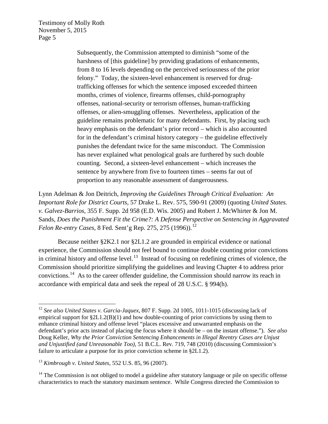> Subsequently, the Commission attempted to diminish "some of the harshness of [this guideline] by providing gradations of enhancements, from 8 to 16 levels depending on the perceived seriousness of the prior felony." Today, the sixteen-level enhancement is reserved for drugtrafficking offenses for which the sentence imposed exceeded thirteen months, crimes of violence, firearms offenses, child-pornography offenses, national-security or terrorism offenses, human-trafficking offenses, or alien-smuggling offenses. Nevertheless, application of the guideline remains problematic for many defendants. First, by placing such heavy emphasis on the defendant's prior record – which is also accounted for in the defendant's criminal history category – the guideline effectively punishes the defendant twice for the same misconduct. The Commission has never explained what penological goals are furthered by such double counting. Second, a sixteen-level enhancement – which increases the sentence by anywhere from five to fourteen times – seems far out of proportion to any reasonable assessment of dangerousness.

Lynn Adelman & Jon Deitrich, *Improving the Guidelines Through Critical Evaluation: An Important Role for District Courts*, 57 Drake L. Rev. 575, 590-91 (2009) (quoting *United States. v. Galvez-Barrios*, 355 F. Supp. 2d 958 (E.D. Wis. 2005) and Robert J. McWhirter & Jon M. Sands, *Does the Punishment Fit the Crime?: A Defense Perspective on Sentencing in Aggravated Felon Re-entry Cases*, 8 Fed. Sent'g Rep. 275, 275 (1996)). 12

Because neither §2K2.1 nor §2L1.2 are grounded in empirical evidence or national experience, the Commission should not feel bound to continue double counting prior convictions in criminal history and offense level.<sup>13</sup> Instead of focusing on redefining crimes of violence, the Commission should prioritize simplifying the guidelines and leaving Chapter 4 to address prior convictions.14 As to the career offender guideline, the Commission should narrow its reach in accordance with empirical data and seek the repeal of 28 U.S.C. § 994(h).

 <sup>12</sup> *See also United States v. Garcia-Jaquex*, 807 F. Supp. 2d 1005, 1011-1015 (discussing lack of empirical support for  $\S 2L1.2(B)(1)$  and how double-counting of prior convictions by using them to enhance criminal history and offense level "places excessive and unwarranted emphasis on the defendant's prior acts instead of placing the focus where it should be – on the instant offense."). *See also* Doug Keller, *Why the Prior Conviction Sentencing Enhancements in Illegal Reentry Cases are Unjust and Unjustified (and Unreasonable Too)*, 51 B.C.L. Rev. 719, 748 (2010) (discussing Commission's failure to articulate a purpose for its prior conviction scheme in §2L1.2).

<sup>13</sup> *Kimbrough v. United States*, 552 U.S. 85, 96 (2007).

<sup>&</sup>lt;sup>14</sup> The Commission is not obliged to model a guideline after statutory language or pile on specific offense characteristics to reach the statutory maximum sentence. While Congress directed the Commission to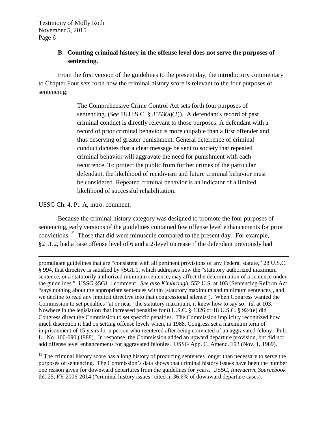## **B. Counting criminal history in the offense level does not serve the purposes of sentencing.**

From the first version of the guidelines to the present day, the introductory commentary to Chapter Four sets forth how the criminal history score is relevant to the four purposes of sentencing:

> The Comprehensive Crime Control Act sets forth four purposes of sentencing. (*See* 18 U.S.C. § 3553(a)(2)). A defendant's record of past criminal conduct is directly relevant to those purposes. A defendant with a record of prior criminal behavior is more culpable than a first offender and thus deserving of greater punishment. General deterrence of criminal conduct dictates that a clear message be sent to society that repeated criminal behavior will aggravate the need for punishment with each recurrence. To protect the public from further crimes of the particular defendant, the likelihood of recidivism and future criminal behavior must be considered. Repeated criminal behavior is an indicator of a limited likelihood of successful rehabilitation.

USSG Ch. 4, Pt. A, intro. comment.

 $\overline{a}$ 

Because the criminal history category was designed to promote the four purposes of sentencing, early versions of the guidelines contained few offense level enhancements for prior convictions.15 Those that did were minuscule compared to the present day. For example, §2L1.2, had a base offense level of 6 and a 2-level increase if the defendant previously had

promulgate guidelines that are "consistent with all pertinent provisions of any Federal statute," 28 U.S.C. § 994, that directive is satisfied by §5G1.1, which addresses how the "statutory authorized maximum sentence, or a statutorily authorized minimum sentence, may affect the determination of a sentence under the guidelines." USSG §5G1.1 comment. *See also Kimbrough*, 552 U.S. at 103 (Sentencing Reform Act "says nothing about the appropriate sentences within [statutory maximum and minimum sentences], and we decline to read any implicit directive into that congressional silence"). When Congress wanted the Commission to set penalties "at or near" the statutory maximum, it knew how to say so. *Id*. at 103. Nowhere in the legislation that increased penalties for 8 U.S.C. § 1326 or 18 U.S.C. § 924(e) did Congress direct the Commission to set specific penalties. The Commission implicitly recognized how much discretion it had on setting offense levels when, in 1988, Congress set a maximum term of imprisonment of 15 years for a person who reentered after being convicted of an aggravated felony. Pub. L . No. 100-690 (1988). In response, the Commission added an upward departure provision, but did not add offense level enhancements for aggravated felonies. USSG App. C, Amend. 193 (Nov. 1, 1989).

<sup>15</sup> The criminal history score has a long history of producing sentences longer than necessary to serve the purposes of sentencing. The Commission's data shows that criminal history issues have been the number one reason given for downward departures from the guidelines for years. USSC, *Interactive Sourcebook* tbl. 25, FY 2006-2014 ("criminal history issues" cited in 36.6% of downward departure cases).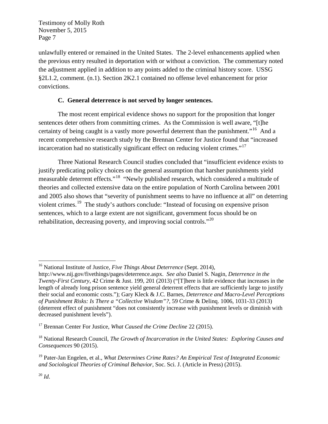unlawfully entered or remained in the United States. The 2-level enhancements applied when the previous entry resulted in deportation with or without a conviction. The commentary noted the adjustment applied in addition to any points added to the criminal history score. USSG §2L1.2, comment. (n.1). Section 2K2.1 contained no offense level enhancement for prior convictions.

#### **C. General deterrence is not served by longer sentences.**

The most recent empirical evidence shows no support for the proposition that longer sentences deter others from committing crimes. As the Commission is well aware, "[t]he certainty of being caught is a vastly more powerful deterrent than the punishment."<sup>16</sup> And a recent comprehensive research study by the Brennan Center for Justice found that "increased incarceration had no statistically significant effect on reducing violent crimes."<sup>17</sup>

Three National Research Council studies concluded that "insufficient evidence exists to justify predicating policy choices on the general assumption that harsher punishments yield measurable deterrent effects."18 "Newly published research, which considered a multitude of theories and collected extensive data on the entire population of North Carolina between 2001 and 2005 also shows that "severity of punishment seems to have no influence at all" on deterring violent crimes.19 The study's authors conclude: "Instead of focusing on expensive prison sentences, which to a large extent are not significant, government focus should be on rehabilitation, decreasing poverty, and improving social controls."<sup>20</sup>

 <sup>16</sup> National Institute of Justice, *Five Things About Deterrence* (Sept. 2014),

http://www.nij.gov/fivethings/pages/deterrence.aspx. *See also* Daniel S. Nagin, *Deterrence in the Twenty-First Century*, 42 Crime & Just. 199, 201 (2013) ("[T]here is little evidence that increases in the length of already long prison sentence yield general deterrent effects that are sufficiently large to justify their social and economic costs."); Gary Kleck & J.C. Barnes, *Deterrence and Macro-Level Perceptions of Punishment Risks: Is There a "Collective Wisdom"?*, 59 Crime & Delinq. 1006, 1031-33 (2013) (deterrent effect of punishment "does not consistently increase with punishment levels or diminish with decreased punishment levels").

<sup>&</sup>lt;sup>17</sup> Brennan Center For Justice, *What Caused the Crime Decline* 22 (2015).

<sup>18</sup> National Research Council, *The Growth of Incarceration in the United States: Exploring Causes and Consequences* 90 (2015).

<sup>19</sup> Pater-Jan Engelen, et al., *What Determines Crime Rates? An Empirical Test of Integrated Economic and Sociological Theories of Criminal Behavior*, Soc. Sci. J. (Article in Press) (2015).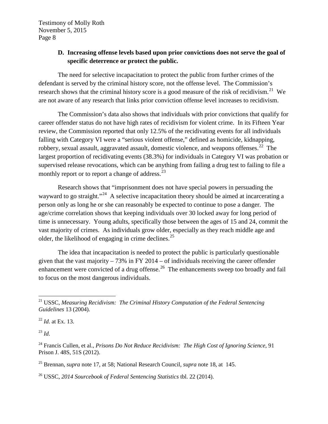# **D. Increasing offense levels based upon prior convictions does not serve the goal of specific deterrence or protect the public.**

The need for selective incapacitation to protect the public from further crimes of the defendant is served by the criminal history score, not the offense level. The Commission's research shows that the criminal history score is a good measure of the risk of recidivism.<sup>21</sup> We are not aware of any research that links prior conviction offense level increases to recidivism.

The Commission's data also shows that individuals with prior convictions that qualify for career offender status do not have high rates of recidivism for violent crime. In its Fifteen Year review, the Commission reported that only 12.5% of the recidivating events for all individuals falling with Category VI were a "serious violent offense," defined as homicide, kidnapping, robbery, sexual assault, aggravated assault, domestic violence, and weapons offenses.<sup>22</sup> The largest proportion of recidivating events (38.3%) for individuals in Category VI was probation or supervised release revocations, which can be anything from failing a drug test to failing to file a monthly report or to report a change of address.<sup>23</sup>

Research shows that "imprisonment does not have special powers in persuading the wayward to go straight."<sup>24</sup> A selective incapacitation theory should be aimed at incarcerating a person only as long he or she can reasonably be expected to continue to pose a danger. The age/crime correlation shows that keeping individuals over 30 locked away for long period of time is unnecessary. Young adults, specifically those between the ages of 15 and 24, commit the vast majority of crimes. As individuals grow older, especially as they reach middle age and older, the likelihood of engaging in crime declines.<sup>25</sup>

The idea that incapacitation is needed to protect the public is particularly questionable given that the vast majority  $-73\%$  in FY 2014 – of individuals receiving the career offender enhancement were convicted of a drug offense.<sup>26</sup> The enhancements sweep too broadly and fail to focus on the most dangerous individuals.

<sup>22</sup> *Id*. at Ex. 13.

<sup>23</sup> *Id*.

 <sup>21</sup> USSC, *Measuring Recidivism: The Criminal History Computation of the Federal Sentencing Guidelines* 13 (2004).

<sup>24</sup> Francis Cullen, et al., *Prisons Do Not Reduce Recidivism: The High Cost of Ignoring Science*, 91 Prison J. 48S, 51S (2012).

<sup>25</sup> Brennan, *supra* note 17, at 58; National Research Council, *supra* note 18, at 145.

<sup>26</sup> USSC, *2014 Sourcebook of Federal Sentencing Statistics* tbl. 22 (2014).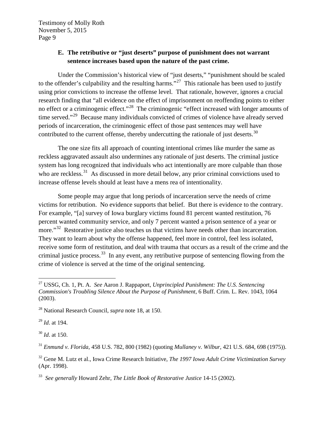# **E. The retributive or "just deserts" purpose of punishment does not warrant sentence increases based upon the nature of the past crime.**

Under the Commission's historical view of "just deserts," "punishment should be scaled to the offender's culpability and the resulting harms."<sup>27</sup> This rationale has been used to justify using prior convictions to increase the offense level. That rationale, however, ignores a crucial research finding that "all evidence on the effect of imprisonment on reoffending points to either no effect or a criminogenic effect."<sup>28</sup> The criminogenic "effect increased with longer amounts of time served."<sup>29</sup> Because many individuals convicted of crimes of violence have already served periods of incarceration, the criminogenic effect of those past sentences may well have contributed to the current offense, thereby undercutting the rationale of just deserts.<sup>30</sup>

The one size fits all approach of counting intentional crimes like murder the same as reckless aggravated assault also undermines any rationale of just deserts. The criminal justice system has long recognized that individuals who act intentionally are more culpable than those who are reckless. $31$  As discussed in more detail below, any prior criminal convictions used to increase offense levels should at least have a mens rea of intentionality.

Some people may argue that long periods of incarceration serve the needs of crime victims for retribution. No evidence supports that belief. But there is evidence to the contrary. For example, "[a] survey of Iowa burglary victims found 81 percent wanted restitution, 76 percent wanted community service, and only 7 percent wanted a prison sentence of a year or more."<sup>32</sup> Restorative justice also teaches us that victims have needs other than incarceration. They want to learn about why the offense happened, feel more in control, feel less isolated, receive some form of restitution, and deal with trauma that occurs as a result of the crime and the criminal justice process.<sup>33</sup> In any event, any retributive purpose of sentencing flowing from the crime of violence is served at the time of the original sentencing.

<sup>29</sup> *Id*. at 194.

<sup>30</sup> *Id*. at 150.

<sup>31</sup> *Enmund v. Florida*, 458 U.S. 782, 800 (1982) (quoting *Mullaney v. Wilbur*, 421 U.S. 684, 698 (1975)).

<sup>32</sup> Gene M. Lutz et al., Iowa Crime Research Initiative, *The 1997 Iowa Adult Crime Victimization Survey* (Apr. 1998).

 <sup>27</sup> USSG, Ch. 1, Pt. A. *See* Aaron J. Rappaport, *Unprincipled Punishment: The U.S. Sentencing Commission's Troubling Silence About the Purpose of Punishment*, 6 Buff. Crim. L. Rev. 1043, 1064 (2003).

<sup>28</sup> National Research Council, *supra* note 18, at 150.

<sup>33</sup> *See generally* Howard Zehr, *The Little Book of Restorative Justice* 14-15 (2002).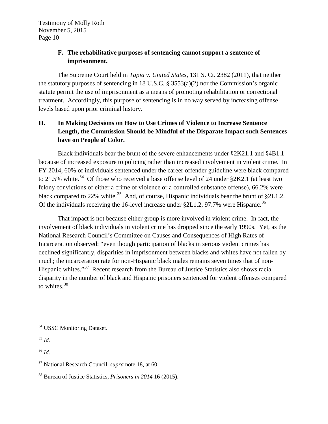# **F. The rehabilitative purposes of sentencing cannot support a sentence of imprisonment.**

The Supreme Court held in *Tapia v. United States*, 131 S. Ct. 2382 (2011), that neither the statutory purposes of sentencing in 18 U.S.C. § 3553(a)(2) nor the Commission's organic statute permit the use of imprisonment as a means of promoting rehabilitation or correctional treatment. Accordingly, this purpose of sentencing is in no way served by increasing offense levels based upon prior criminal history.

# **II. In Making Decisions on How to Use Crimes of Violence to Increase Sentence Length, the Commission Should be Mindful of the Disparate Impact such Sentences have on People of Color.**

Black individuals bear the brunt of the severe enhancements under §2K21.1 and §4B1.1 because of increased exposure to policing rather than increased involvement in violent crime. In FY 2014, 60% of individuals sentenced under the career offender guideline were black compared to 21.5% white.<sup>34</sup> Of those who received a base offense level of 24 under  $\S 2K2.1$  (at least two felony convictions of either a crime of violence or a controlled substance offense), 66.2% were black compared to 22% white.<sup>35</sup> And, of course, Hispanic individuals bear the brunt of  $\S2L1.2$ . Of the individuals receiving the 16-level increase under §2L1.2, 97.7% were Hispanic.<sup>36</sup>

That impact is not because either group is more involved in violent crime. In fact, the involvement of black individuals in violent crime has dropped since the early 1990s. Yet, as the National Research Council's Committee on Causes and Consequences of High Rates of Incarceration observed: "even though participation of blacks in serious violent crimes has declined significantly, disparities in imprisonment between blacks and whites have not fallen by much; the incarceration rate for non-Hispanic black males remains seven times that of non-Hispanic whites."37 Recent research from the Bureau of Justice Statistics also shows racial disparity in the number of black and Hispanic prisoners sentenced for violent offenses compared to whites.<sup>38</sup>

<sup>&</sup>lt;sup>34</sup> USSC Monitoring Dataset.

<sup>35</sup> *Id.*

<sup>36</sup> *Id.*

<sup>37</sup> National Research Council, *supra* note 18, at 60.

<sup>38</sup> Bureau of Justice Statistics, *Prisoners in 2014* 16 (2015).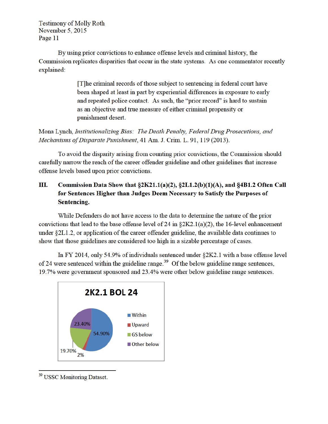By using prior convictions to enhance offense levels and criminal history, the Commission replicates disparities that occur in the state systems. As one commentator recently explained:

> [T] he criminal records of those subject to sentencing in federal court have been shaped at least in part by experiential differences in exposure to early and repeated police contact. As such, the "prior record" is hard to sustain as an objective and true measure of either criminal propensity or punishment desert.

Mona Lynch, Institutionalizing Bias: The Death Penalty, Federal Drug Prosecutions, and Mechanisms of Disparate Punishment, 41 Am. J. Crim. L. 91, 119 (2013).

To avoid the disparity arising from counting prior convictions, the Commission should carefully narrow the reach of the career offender guideline and other guidelines that increase offense levels based upon prior convictions.

#### Ш. Commission Data Show that §2K21.1(a)(2), §2L1.2(b)(1)(A), and §4B1.2 Often Call for Sentences Higher than Judges Deem Necessary to Satisfy the Purposes of Sentencing.

While Defenders do not have access to the data to determine the nature of the prior convictions that lead to the base offense level of 24 in  $\S 2K2.1(a)(2)$ , the 16-level enhancement under §2L1.2, or application of the career offender guideline, the available data continues to show that those guidelines are considered too high in a sizable percentage of cases.

In FY 2014, only 54.9% of individuals sentenced under §2K2.1 with a base offense level of 24 were sentenced within the guideline range.<sup>39</sup> Of the below guideline range sentences, 19.7% were government sponsored and 23.4% were other below guideline range sentences.



<sup>&</sup>lt;sup>39</sup> USSC Monitoring Dataset.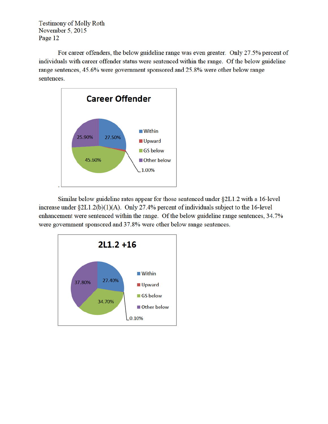For career offenders, the below guideline range was even greater. Only 27.5% percent of individuals with career offender status were sentenced within the range. Of the below guideline range sentences, 45.6% were government sponsored and 25.8% were other below range sentences.



Similar below guideline rates appear for those sentenced under §2L1.2 with a 16-level increase under  $\S2L1.2(b)(1)(A)$ . Only 27.4% percent of individuals subject to the 16-level enhancement were sentenced within the range. Of the below guideline range sentences, 34.7% were government sponsored and 37.8% were other below range sentences.

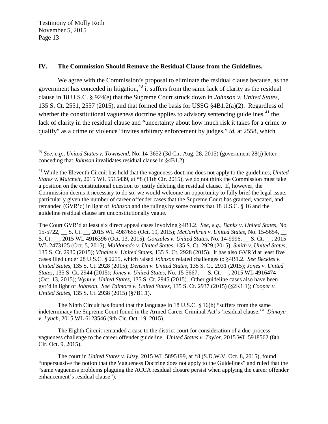#### **IV. The Commission Should Remove the Residual Clause from the Guidelines.**

We agree with the Commission's proposal to eliminate the residual clause because, as the government has conceded in litigation, $40$  it suffers from the same lack of clarity as the residual clause in 18 U.S.C. § 924(e) that the Supreme Court struck down in *Johnson v. United States*, 135 S. Ct. 2551, 2557 (2015), and that formed the basis for USSG §4B1.2(a)(2). Regardless of whether the constitutional vagueness doctrine applies to advisory sentencing guidelines.<sup>41</sup> the lack of clarity in the residual clause and "uncertainty about how much risk it takes for a crime to qualify" as a crime of violence "invites arbitrary enforcement by judges," *id.* at 2558, which

The Court GVR'd at least six direct appeal cases involving §4B1.2. *See*, *e.g.*, *Banks v. United States*, No. 15-5722, \_\_ S. Ct. \_\_, 2015 WL 4987655 (Oct. 19, 2015); *McCarthren v. United States*, No. 15-5654, \_\_ S. Ct. \_\_, 2015 WL 4916396 (Oct. 13, 2015); *Gonzales v. United States*, No. 14-9996, \_\_ S. Ct. \_\_, 2015 WL 2473125 (Oct. 5, 2015); *Maldonado v. United Stat*es, 135 S. Ct. 2929 (2015); *Smith v. United States*, 135 S. Ct. 2930 (2015); *Vinales v. United States*, 135 S. Ct. 2928 (2015). It has also GVR'd at least five cases filed under 28 U.S.C. § 2255, which raised *Johnson* related challenges to §4B1.2. *See Beckles v. United States,* 135 S. Ct. 2928 (2015); *Denson v. United States*, 135 S. Ct. 2931 (2015); *Jones v. United States*, 135 S. Ct. 2944 (2015); *Jones v. United States*, No. 15-5667, \_\_ S. Ct. \_\_, 2015 WL 4916474 (Oct. 13, 2015); *Wynn v. United States*, 135 S. Ct. 2945 (2015). Other guideline cases also have been gvr'd in light of *Johnson*. *See Talmore v. United States*, 135 S. Ct. 2937 (2015) (§2K1.1); *Cooper v. United States*, 135 S. Ct. 2938 (2015) (§7B1.1).

The Ninth Circuit has found that the language in 18 U.S.C. § 16(b) "suffers from the same indeterminacy the Supreme Court found in the Armed Career Criminal Act's 'residual clause.'" *Dimaya v. Lynch*, 2015 WL 6123546 (9th Cir. Oct. 19, 2015).

The Eighth Circuit remanded a case to the district court for consideration of a due-process vagueness challenge to the career offender guideline. *United States v. Taylor*, 2015 WL 5918562 (8th Cir. Oct. 9, 2015).

The court in *United States v. Litzy*, 2015 WL 5895199, at \*8 (S.D.W.V. Oct. 8, 2015), found "unpersuasive the notion that the Vagueness Doctrine does not apply to the Guidelines" and ruled that the "same vagueness problems plaguing the ACCA residual closure persist when applying the career offender enhancement's residual clause").

 <sup>40</sup> *See*, *e.g.*, *United States v. Townsend*, No. 14-3652 (3d Cir. Aug, 28, 2015) (government 28(j) letter conceding that *Johnson* invalidates residual clause in §4B1.2).

<sup>&</sup>lt;sup>41</sup> While the Eleventh Circuit has held that the vagueness doctrine does not apply to the guidelines, *United States v. Matchett*, 2015 WL 5515439, at \*8 (11th Cir. 2015), we do not think the Commission must take a position on the constitutional question to justify deleting the residual clause. If, however, the Commission deems it necessary to do so, we would welcome an opportunity to fully brief the legal issue, particularly given the number of career offender cases that the Supreme Court has granted, vacated, and remanded (GVR'd) in light of *Johnson* and the rulings by some courts that 18 U.S.C. § 16 and the guideline residual clause are unconstitutionally vague.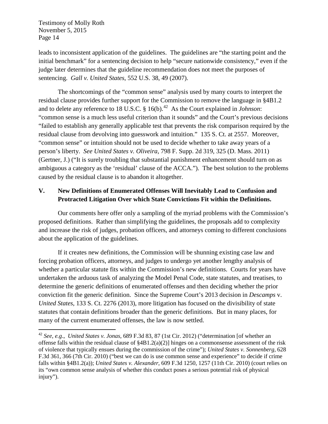leads to inconsistent application of the guidelines. The guidelines are "the starting point and the initial benchmark" for a sentencing decision to help "secure nationwide consistency," even if the judge later determines that the guideline recommendation does not meet the purposes of sentencing. *Gall v. United States*, 552 U.S. 38, 49 (2007).

The shortcomings of the "common sense" analysis used by many courts to interpret the residual clause provides further support for the Commission to remove the language in §4B1.2 and to delete any reference to 18 U.S.C. § 16(b).<sup>42</sup> As the Court explained in *Johnson*: "common sense is a much less useful criterion than it sounds" and the Court's previous decisions "failed to establish any generally applicable test that prevents the risk comparison required by the residual clause from devolving into guesswork and intuition." 135 S. Ct. at 2557. Moreover, "common sense" or intuition should not be used to decide whether to take away years of a person's liberty. *See United States v. Oliveira*, 798 F. Supp. 2d 319, 325 (D. Mass. 2011) (Gertner, J.) ("It is surely troubling that substantial punishment enhancement should turn on as ambiguous a category as the 'residual' clause of the ACCA."). The best solution to the problems caused by the residual clause is to abandon it altogether.

### **V. New Definitions of Enumerated Offenses Will Inevitably Lead to Confusion and Protracted Litigation Over which State Convictions Fit within the Definitions.**

Our comments here offer only a sampling of the myriad problems with the Commission's proposed definitions. Rather than simplifying the guidelines, the proposals add to complexity and increase the risk of judges, probation officers, and attorneys coming to different conclusions about the application of the guidelines.

If it creates new definitions, the Commission will be shunning existing case law and forcing probation officers, attorneys, and judges to undergo yet another lengthy analysis of whether a particular statute fits within the Commission's new definitions. Courts for years have undertaken the arduous task of analyzing the Model Penal Code, state statutes, and treatises, to determine the generic definitions of enumerated offenses and then deciding whether the prior conviction fit the generic definition. Since the Supreme Court's 2013 decision in *Descamps* v. *United States*, 133 S. Ct. 2276 (2013), more litigation has focused on the divisibility of state statutes that contain definitions broader than the generic definitions. But in many places, for many of the current enumerated offenses, the law is now settled.

 <sup>42</sup> *See*, *e.g*., *United States v. Jonas*, 689 F.3d 83, 87 (1st Cir. 2012) ("determination [of whether an offense falls within the residual clause of  $\S 4B1.2(a)(2)$  hinges on a commonsense assessment of the risk of violence that typically ensues during the commission of the crime"); *United States v. Sonnenberg*, 628 F.3d 361, 366 (7th Cir. 2010) ("best we can do is use common sense and experience" to decide if crime falls within §4B1.2(a)); *United States v. Alexander*, 609 F.3d 1250, 1257 (11th Cir. 2010) (court relies on its "own common sense analysis of whether this conduct poses a serious potential risk of physical injury").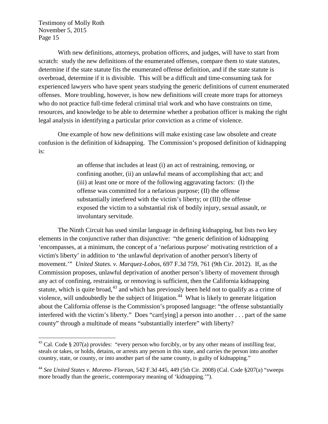With new definitions, attorneys, probation officers, and judges, will have to start from scratch: study the new definitions of the enumerated offenses, compare them to state statutes, determine if the state statute fits the enumerated offense definition, and if the state statute is overbroad, determine if it is divisible. This will be a difficult and time-consuming task for experienced lawyers who have spent years studying the generic definitions of current enumerated offenses. More troubling, however, is how new definitions will create more traps for attorneys who do not practice full-time federal criminal trial work and who have constraints on time, resources, and knowledge to be able to determine whether a probation officer is making the right legal analysis in identifying a particular prior conviction as a crime of violence.

One example of how new definitions will make existing case law obsolete and create confusion is the definition of kidnapping. The Commission's proposed definition of kidnapping is:

> an offense that includes at least (i) an act of restraining, removing, or confining another, (ii) an unlawful means of accomplishing that act; and (iii) at least one or more of the following aggravating factors: (I) the offense was committed for a nefarious purpose; (II) the offense substantially interfered with the victim's liberty; or (III) the offense exposed the victim to a substantial risk of bodily injury, sexual assault, or involuntary servitude.

The Ninth Circuit has used similar language in defining kidnapping, but lists two key elements in the conjunctive rather than disjunctive: "the generic definition of kidnapping 'encompasses, at a minimum, the concept of a 'nefarious purpose' motivating restriction of a victim's liberty' in addition to 'the unlawful deprivation of another person's liberty of movement.'" *United States. v. Marquez-Lobos*, 697 F.3d 759, 761 (9th Cir. 2012). If, as the Commission proposes, unlawful deprivation of another person's liberty of movement through any act of confining, restraining, or removing is sufficient, then the California kidnapping statute, which is quite broad, $43$  and which has previously been held not to qualify as a crime of violence, will undoubtedly be the subject of litigation.<sup>44</sup> What is likely to generate litigation about the California offense is the Commission's proposed language: "the offense substantially interfered with the victim's liberty." Does "carr[ying] a person into another . . . part of the same county" through a multitude of means "substantially interfere" with liberty?

<sup>&</sup>lt;sup>43</sup> Cal. Code § 207(a) provides: "every person who forcibly, or by any other means of instilling fear, steals or takes, or holds, detains, or arrests any person in this state, and carries the person into another country, state, or county, or into another part of the same county, is guilty of kidnapping."

<sup>44</sup> *See United States v. Moreno- Florean*, 542 F.3d 445, 449 (5th Cir. 2008) (Cal. Code §207(a) "sweeps more broadly than the generic, contemporary meaning of 'kidnapping.'").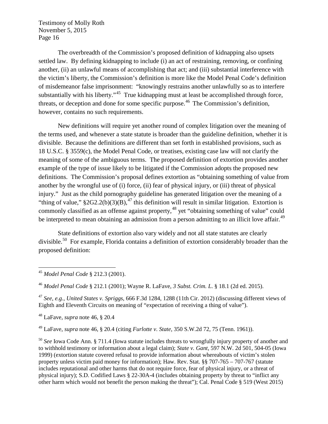The overbreadth of the Commission's proposed definition of kidnapping also upsets settled law. By defining kidnapping to include (i) an act of restraining, removing, or confining another, (ii) an unlawful means of accomplishing that act; and (iii) substantial interference with the victim's liberty, the Commission's definition is more like the Model Penal Code's definition of misdemeanor false imprisonment: "knowingly restrains another unlawfully so as to interfere substantially with his liberty."<sup>45</sup> True kidnapping must at least be accomplished through force, threats, or deception and done for some specific purpose.<sup>46</sup> The Commission's definition, however, contains no such requirements.

New definitions will require yet another round of complex litigation over the meaning of the terms used, and whenever a state statute is broader than the guideline definition, whether it is divisible. Because the definitions are different than set forth in established provisions, such as 18 U.S.C. § 3559(c), the Model Penal Code, or treatises, existing case law will not clarify the meaning of some of the ambiguous terms. The proposed definition of extortion provides another example of the type of issue likely to be litigated if the Commission adopts the proposed new definitions. The Commission's proposal defines extortion as "obtaining something of value from another by the wrongful use of (i) force, (ii) fear of physical injury, or (iii) threat of physical injury." Just as the child pornography guideline has generated litigation over the meaning of a "thing of value,"  $§2G2.2(b)(3)(B)$ ,<sup>47</sup> this definition will result in similar litigation. Extortion is commonly classified as an offense against property,<sup>48</sup> yet "obtaining something of value" could be interpreted to mean obtaining an admission from a person admitting to an illicit love affair.<sup>49</sup>

State definitions of extortion also vary widely and not all state statutes are clearly divisible.<sup>50</sup> For example, Florida contains a definition of extortion considerably broader than the proposed definition:

<sup>47</sup> *See*, *e.g.*, *United States v. Spriggs*, 666 F.3d 1284, 1288 (11th Cir. 2012) (discussing different views of Eighth and Eleventh Circuits on meaning of "expectation of receiving a thing of value").

<sup>48</sup> LaFave, *supra* note 46, § 20.4

<sup>49</sup> LaFave, *supra* note 46, § 20.4 (citing *Furlotte v. State*, 350 S.W.2d 72, 75 (Tenn. 1961)).

<sup>50</sup> *See* Iowa Code Ann. § 711.4 (Iowa statute includes threats to wrongfully injury property of another and to withhold testimony or information about a legal claim); *State v. Gant*, 597 N.W. 2d 501, 504-05 (Iowa 1999) (extortion statute covered refusal to provide information about whereabouts of victim's stolen property unless victim paid money for information); Haw. Rev. Stat. §§ 707-765 – 707-767 (statute includes reputational and other harms that do not require force, fear of physical injury, or a threat of physical injury); S.D. Codified Laws § 22-30A-4 (includes obtaining property by threat to "inflict any other harm which would not benefit the person making the threat"); Cal. Penal Code § 519 (West 2015)

 <sup>45</sup> *Model Penal Code* § 212.3 (2001).

<sup>46</sup> *Model Penal Code* § 212.1 (2001); Wayne R. LaFave, *3 Subst. Crim. L*. § 18.1 (2d ed. 2015).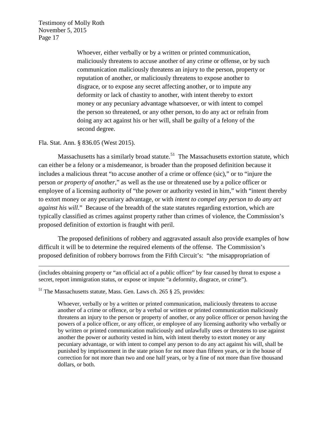> Whoever, either verbally or by a written or printed communication, maliciously threatens to accuse another of any crime or offense, or by such communication maliciously threatens an injury to the person, property or reputation of another, or maliciously threatens to expose another to disgrace, or to expose any secret affecting another, or to impute any deformity or lack of chastity to another, with intent thereby to extort money or any pecuniary advantage whatsoever, or with intent to compel the person so threatened, or any other person, to do any act or refrain from doing any act against his or her will, shall be guilty of a felony of the second degree.

#### Fla. Stat. Ann. § 836.05 (West 2015).

 $\overline{a}$ 

Massachusetts has a similarly broad statute.<sup>51</sup> The Massachusetts extortion statute, which can either be a felony or a misdemeanor, is broader than the proposed definition because it includes a malicious threat "to accuse another of a crime or offence (sic)," or to "injure the person *or property of another*," as well as the use or threatened use by a police officer or employee of a licensing authority of "the power or authority vested in him," with "intent thereby to extort money or any pecuniary advantage, or with *intent to compel any person to do any act against his will*." Because of the breadth of the state statutes regarding extortion, which are typically classified as crimes against property rather than crimes of violence, the Commission's proposed definition of extortion is fraught with peril.

The proposed definitions of robbery and aggravated assault also provide examples of how difficult it will be to determine the required elements of the offense. The Commission's proposed definition of robbery borrows from the Fifth Circuit's: "the misappropriation of

(includes obtaining property or "an official act of a public officer" by fear caused by threat to expose a secret, report immigration status, or expose or impute "a deformity, disgrace, or crime").

 $<sup>51</sup>$  The Massachusetts statute, Mass. Gen. Laws ch. 265 § 25, provides:</sup>

Whoever, verbally or by a written or printed communication, maliciously threatens to accuse another of a crime or offence, or by a verbal or written or printed communication maliciously threatens an injury to the person or property of another, or any police officer or person having the powers of a police officer, or any officer, or employee of any licensing authority who verbally or by written or printed communication maliciously and unlawfully uses or threatens to use against another the power or authority vested in him, with intent thereby to extort money or any pecuniary advantage, or with intent to compel any person to do any act against his will, shall be punished by imprisonment in the state prison for not more than fifteen years, or in the house of correction for not more than two and one half years, or by a fine of not more than five thousand dollars, or both.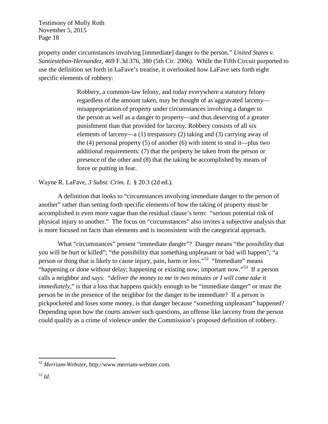property under circumstances involving [immediate] danger to the person." *United States v. Santiesteban-Hernandez*, 469 F.3d 376, 380 (5th Cir. 2006). While the Fifth Circuit purported to use the definition set forth in LaFave's treatise, it overlooked how LaFave sets forth eight specific elements of robbery:

> Robbery, a common-law felony, and today everywhere a statutory felony regardless of the amount taken, may be thought of as aggravated larceny misappropriation of property under circumstances involving a danger to the person as well as a danger to property—and thus deserving of a greater punishment than that provided for larceny. Robbery consists of all six elements of larceny—a (1) trespassory (2) taking and (3) carrying away of the  $(4)$  personal property  $(5)$  of another  $(6)$  with intent to steal it—plus two additional requirements: (7) that the property be taken from the person or presence of the other and (8) that the taking be accomplished by means of force or putting in fear.

Wayne R. LaFave, *3 Subst. Crim. L.* § 20.3 (2d ed.).

A definition that looks to "circumstances involving immediate danger to the person of another" rather than setting forth specific elements of how the taking of property must be accomplished is even more vague than the residual clause's term: "serious potential risk of physical injury to another." The focus on "circumstances" also invites a subjective analysis that is more focused on facts than elements and is inconsistent with the categorical approach.

What "circumstances" present "immediate danger"? Danger means "the possibility that you will be hurt or killed"; "the possibility that something unpleasant or bad will happen"; "a person or thing that is likely to cause injury, pain, harm or loss."52 "Immediate" means "happening or done without delay; happening or existing now; important now."53 If a person calls a neighbor and says: "*deliver the money to me in two minutes or I will come take it immediately*," is that a loss that happens quickly enough to be "immediate danger" or must the person be in the presence of the neighbor for the danger to be immediate? If a person is pickpocketed and loses some money, is that danger because "something unpleasant" happened? Depending upon how the courts answer such questions, an offense like larceny from the person could qualify as a crime of violence under the Commission's proposed definition of robbery.

 <sup>52</sup> *Merriam-Webster*, http://www.merriam-webster.com.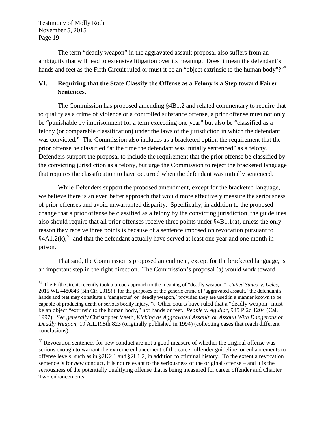The term "deadly weapon" in the aggravated assault proposal also suffers from an ambiguity that will lead to extensive litigation over its meaning. Does it mean the defendant's hands and feet as the Fifth Circuit ruled or must it be an "object extrinsic to the human body"?<sup>54</sup>

### **VI. Requiring that the State Classify the Offense as a Felony is a Step toward Fairer Sentences.**

The Commission has proposed amending §4B1.2 and related commentary to require that to qualify as a crime of violence or a controlled substance offense, a prior offense must not only be "punishable by imprisonment for a term exceeding one year" but also be "classified as a felony (or comparable classification) under the laws of the jurisdiction in which the defendant was convicted." The Commission also includes as a bracketed option the requirement that the prior offense be classified "at the time the defendant was initially sentenced" as a felony. Defenders support the proposal to include the requirement that the prior offense be classified by the convicting jurisdiction as a felony, but urge the Commission to reject the bracketed language that requires the classification to have occurred when the defendant was initially sentenced.

While Defenders support the proposed amendment, except for the bracketed language, we believe there is an even better approach that would more effectively measure the seriousness of prior offenses and avoid unwarranted disparity. Specifically, in addition to the proposed change that a prior offense be classified as a felony by the convicting jurisdiction, the guidelines also should require that all prior offenses receive three points under §4B1.1(a), unless the only reason they receive three points is because of a sentence imposed on revocation pursuant to  $§4A1.2(k),$ <sup>55</sup> and that the defendant actually have served at least one year and one month in prison.

That said, the Commission's proposed amendment, except for the bracketed language, is an important step in the right direction. The Commission's proposal (a) would work toward

 <sup>54</sup> The Fifth Circuit recently took a broad approach to the meaning of "deadly weapon." *United States v. Ucles*, 2015 WL 4480846 (5th Cir. 2015) ("for the purposes of the generic crime of 'aggravated assault,' the defendant's hands and feet may constitute a 'dangerous' or 'deadly weapon,' provided they are used in a manner known to be capable of producing death or serious bodily injury."). Other courts have ruled that a "deadly weapon" must be an object "extrinsic to the human body," not hands or feet. *People v. Aguilar*, 945 P.2d 1204 (Cal. 1997). *See generally* Christopher Vaeth, *Kicking as Aggravated Assault, or Assault With Dangerous or Deadly Weapon*, 19 A.L.R.5th 823 (originally published in 1994) (collecting cases that reach different conclusions).

<sup>&</sup>lt;sup>55</sup> Revocation sentences for new conduct are not a good measure of whether the original offense was serious enough to warrant the extreme enhancement of the career offender guideline, or enhancements to offense levels, such as in §2K2.1 and §2L1.2, in addition to criminal history. To the extent a revocation sentence is for *new* conduct, it is not relevant to the seriousness of the original offense – and it is the seriousness of the potentially qualifying offense that is being measured for career offender and Chapter Two enhancements.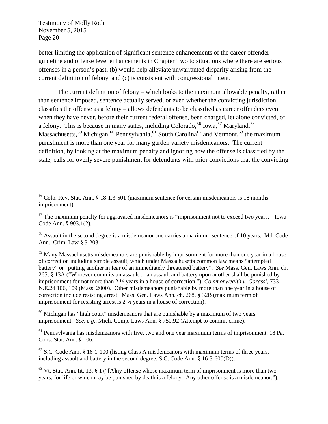better limiting the application of significant sentence enhancements of the career offender guideline and offense level enhancements in Chapter Two to situations where there are serious offenses in a person's past, (b) would help alleviate unwarranted disparity arising from the current definition of felony, and (c) is consistent with congressional intent.

The current definition of felony – which looks to the maximum allowable penalty, rather than sentence imposed, sentence actually served, or even whether the convicting jurisdiction classifies the offense as a felony – allows defendants to be classified as career offenders even when they have never, before their current federal offense, been charged, let alone convicted, of a felony. This is because in many states, including Colorado,<sup>56</sup> Iowa,  $57$  Maryland,  $58$ Massachusetts,<sup>59</sup> Michigan,<sup>60</sup> Pennsylvania,<sup>61</sup> South Carolina<sup>62</sup> and Vermont,<sup>63</sup> the maximum punishment is more than one year for many garden variety misdemeanors. The current definition, by looking at the maximum penalty and ignoring how the offense is classified by the state, calls for overly severe punishment for defendants with prior convictions that the convicting

<sup>58</sup> Assault in the second degree is a misdemeanor and carries a maximum sentence of 10 years. Md. Code Ann., Crim. Law § 3-203.

<sup>59</sup> Many Massachusetts misdemeanors are punishable by imprisonment for more than one year in a house of correction including simple assault, which under Massachusetts common law means "attempted battery" or "putting another in fear of an immediately threatened battery". *See* Mass. Gen. Laws Ann. ch. 265, § 13A ("Whoever commits an assault or an assault and battery upon another shall be punished by imprisonment for not more than 2 ½ years in a house of correction."); *Commonwealth v. Gorassi*, 733 N.E.2d 106, 109 (Mass. 2000). Other misdemeanors punishable by more than one year in a house of correction include resisting arrest. Mass. Gen. Laws Ann. ch. 268, § 32B (maximum term of imprisonment for resisting arrest is 2 ½ years in a house of correction).

 $60$  Michigan has "high court" misdemeanors that are punishable by a maximum of two years imprisonment. *See*, *e.g.*, Mich. Comp. Laws Ann. § 750.92 (Attempt to commit crime).

 $<sup>61</sup>$  Pennsylvania has misdemeanors with five, two and one year maximum terms of imprisonment. 18 Pa.</sup> Cons. Stat. Ann. § 106.

 $62$  S.C. Code Ann. § 16-1-100 (listing Class A misdemeanors with maximum terms of three years, including assault and battery in the second degree, S.C. Code Ann. § 16-3-600(D)).

 $63$  Vt. Stat. Ann. tit. 13, § 1 ("[A]ny offense whose maximum term of imprisonment is more than two years, for life or which may be punished by death is a felony. Any other offense is a misdemeanor.").

 <sup>56</sup> Colo. Rev. Stat. Ann. § 18-1.3-501 (maximum sentence for certain misdemeanors is 18 months imprisonment).

 $57$  The maximum penalty for aggravated misdemeanors is "imprisonment not to exceed two years." Iowa Code Ann. § 903.1(2).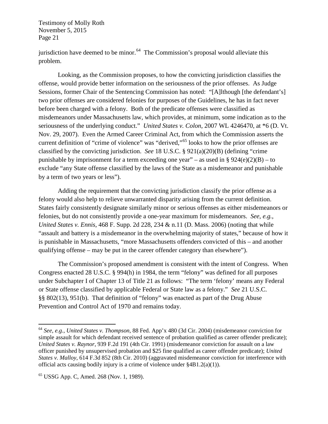jurisdiction have deemed to be minor.<sup>64</sup> The Commission's proposal would alleviate this problem.

Looking, as the Commission proposes, to how the convicting jurisdiction classifies the offense, would provide better information on the seriousness of the prior offenses. As Judge Sessions, former Chair of the Sentencing Commission has noted: "[A]lthough [the defendant's] two prior offenses are considered felonies for purposes of the Guidelines, he has in fact never before been charged with a felony. Both of the predicate offenses were classified as misdemeanors under Massachusetts law, which provides, at minimum, some indication as to the seriousness of the underlying conduct." *United States v. Colon*, 2007 WL 4246470, at \*6 (D. Vt. Nov. 29, 2007). Even the Armed Career Criminal Act, from which the Commission asserts the current definition of "crime of violence" was "derived,"<sup>65</sup> looks to how the prior offenses are classified by the convicting jurisdiction. *See* 18 U.S.C. § 921(a)(20)(B) (defining "crime punishable by imprisonment for a term exceeding one year" – as used in §  $924(e)(2)(B) -$  to exclude "any State offense classified by the laws of the State as a misdemeanor and punishable by a term of two years or less").

Adding the requirement that the convicting jurisdiction classify the prior offense as a felony would also help to relieve unwarranted disparity arising from the current definition. States fairly consistently designate similarly minor or serious offenses as either misdemeanors or felonies, but do not consistently provide a one-year maximum for misdemeanors. *See*, *e.g.*, *United States v. Ennis*, 468 F. Supp. 2d 228, 234 & n.11 (D. Mass. 2006) (noting that while "assault and battery is a misdemeanor in the overwhelming majority of states," because of how it is punishable in Massachusetts, "more Massachusetts offenders convicted of this – and another qualifying offense – may be put in the career offender category than elsewhere").

The Commission's proposed amendment is consistent with the intent of Congress. When Congress enacted 28 U.S.C. § 994(h) in 1984, the term "felony" was defined for all purposes under Subchapter I of Chapter 13 of Title 21 as follows: "The term 'felony' means any Federal or State offense classified by applicable Federal or State law as a felony." *See* 21 U.S.C. §§ 802(13), 951(b). That definition of "felony" was enacted as part of the Drug Abuse Prevention and Control Act of 1970 and remains today.

 <sup>64</sup> *See*, *e.g.*, *United States v. Thompson*, 88 Fed. App'x 480 (3d Cir. 2004) (misdemeanor conviction for simple assault for which defendant received sentence of probation qualified as career offender predicate); *United States v. Raynor*, 939 F.2d 191 (4th Cir. 1991) (misdemeanor conviction for assault on a law officer punished by unsupervised probation and \$25 fine qualified as career offender predicate); *United States v. Malloy*, 614 F.3d 852 (8th Cir. 2010) (aggravated misdemeanor conviction for interference with official acts causing bodily injury is a crime of violence under §4B1.2(a)(1)).

<sup>65</sup> USSG App. C, Amed. 268 (Nov. 1, 1989).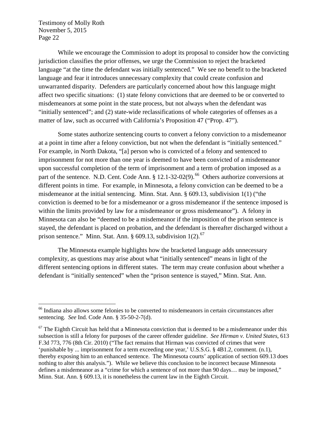While we encourage the Commission to adopt its proposal to consider how the convicting jurisdiction classifies the prior offenses, we urge the Commission to reject the bracketed language "at the time the defendant was initially sentenced." We see no benefit to the bracketed language and fear it introduces unnecessary complexity that could create confusion and unwarranted disparity. Defenders are particularly concerned about how this language might affect two specific situations: (1) state felony convictions that are deemed to be or converted to misdemeanors at some point in the state process, but not always when the defendant was "initially sentenced"; and (2) state-wide reclassifications of whole categories of offenses as a matter of law, such as occurred with California's Proposition 47 ("Prop. 47").

Some states authorize sentencing courts to convert a felony conviction to a misdemeanor at a point in time after a felony conviction, but not when the defendant is "initially sentenced." For example, in North Dakota, "[a] person who is convicted of a felony and sentenced to imprisonment for not more than one year is deemed to have been convicted of a misdemeanor upon successful completion of the term of imprisonment and a term of probation imposed as a part of the sentence. N.D. Cent. Code Ann.  $\S 12.1-32-02(9)$ . <sup>66</sup> Others authorize conversions at different points in time. For example, in Minnesota, a felony conviction can be deemed to be a misdemeanor at the initial sentencing. Minn. Stat. Ann. § 609.13, subdivision 1(1) ("the conviction is deemed to be for a misdemeanor or a gross misdemeanor if the sentence imposed is within the limits provided by law for a misdemeanor or gross misdemeanor"). A felony in Minnesota can also be "deemed to be a misdemeanor if the imposition of the prison sentence is stayed, the defendant is placed on probation, and the defendant is thereafter discharged without a prison sentence." Minn. Stat. Ann.  $\S$  609.13, subdivision 1(2).<sup>67</sup>

The Minnesota example highlights how the bracketed language adds unnecessary complexity, as questions may arise about what "initially sentenced" means in light of the different sentencing options in different states. The term may create confusion about whether a defendant is "initially sentenced" when the "prison sentence is stayed," Minn. Stat. Ann.

<sup>&</sup>lt;sup>66</sup> Indiana also allows some felonies to be converted to misdemeanors in certain circumstances after sentencing. *See* Ind. Code Ann. § 35-50-2-7(d).

 $67$  The Eighth Circuit has held that a Minnesota conviction that is deemed to be a misdemeanor under this subsection is still a felony for purposes of the career offender guideline. *See Hirman v. United States*, 613 F.3d 773, 776 (8th Cir. 2010) ("The fact remains that Hirman was convicted of crimes that were 'punishable by ... imprisonment for a term exceeding one year,' U.S.S.G. § 4B1.2, comment. (n.1), thereby exposing him to an enhanced sentence. The Minnesota courts' application of section 609.13 does nothing to alter this analysis."). While we believe this conclusion to be incorrect because Minnesota defines a misdemeanor as a "crime for which a sentence of not more than 90 days… may be imposed," Minn. Stat. Ann. § 609.13, it is nonetheless the current law in the Eighth Circuit.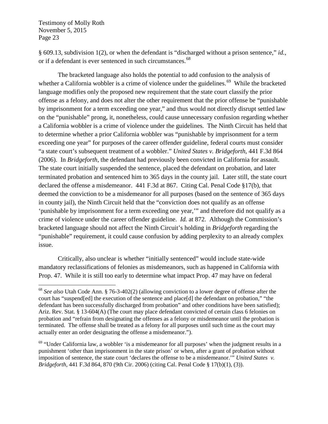§ 609.13, subdivision 1(2), or when the defendant is "discharged without a prison sentence," *id.*, or if a defendant is ever sentenced in such circumstances.<sup>68</sup>

The bracketed language also holds the potential to add confusion to the analysis of whether a California wobbler is a crime of violence under the guidelines.<sup>69</sup> While the bracketed language modifies only the proposed new requirement that the state court classify the prior offense as a felony, and does not alter the other requirement that the prior offense be "punishable by imprisonment for a term exceeding one year," and thus would not directly disrupt settled law on the "punishable" prong, it, nonetheless, could cause unnecessary confusion regarding whether a California wobbler is a crime of violence under the guidelines. The Ninth Circuit has held that to determine whether a prior California wobbler was "punishable by imprisonment for a term exceeding one year" for purposes of the career offender guideline, federal courts must consider "a state court's subsequent treatment of a wobbler." *United States v. Bridgeforth*, 441 F.3d 864 (2006). In *Bridgeforth*, the defendant had previously been convicted in California for assault. The state court initially suspended the sentence, placed the defendant on probation, and later terminated probation and sentenced him to 365 days in the county jail. Later still, the state court declared the offense a misdemeanor. 441 F.3d at 867. Citing Cal. Penal Code §17(b), that deemed the conviction to be a misdemeanor for all purposes (based on the sentence of 365 days in county jail), the Ninth Circuit held that the "conviction does not qualify as an offense 'punishable by imprisonment for a term exceeding one year,'" and therefore did not qualify as a crime of violence under the career offender guideline. *Id.* at 872. Although the Commission's bracketed language should not affect the Ninth Circuit's holding in *Bridgeforth* regarding the "punishable" requirement, it could cause confusion by adding perplexity to an already complex issue.

Critically, also unclear is whether "initially sentenced" would include state-wide mandatory reclassifications of felonies as misdemeanors, such as happened in California with Prop. 47. While it is still too early to determine what impact Prop. 47 may have on federal

 <sup>68</sup> *See also* Utah Code Ann. § 76-3-402(2) (allowing conviction to a lower degree of offense after the court has "suspend[ed] the execution of the sentence and place[d] the defendant on probation," "the defendant has been successfully discharged from probation" and other conditions have been satisfied); Ariz. Rev. Stat. § 13-604(A) (The court may place defendant convicted of certain class 6 felonies on probation and "refrain from designating the offenses as a felony or misdemeanor until the probation is terminated. The offense shall be treated as a felony for all purposes until such time as the court may actually enter an order designating the offense a misdemeanor.").

 $69$  "Under California law, a wobbler 'is a misdemeanor for all purposes' when the judgment results in a punishment 'other than imprisonment in the state prison' or when, after a grant of probation without imposition of sentence, the state court 'declares the offense to be a misdemeanor.'" *United States v. Bridgeforth*, 441 F.3d 864, 870 (9th Cir. 2006) (citing Cal. Penal Code § 17(b)(1), (3)).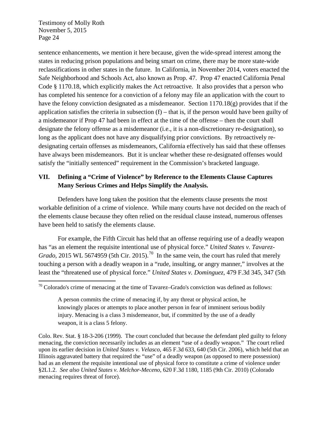sentence enhancements, we mention it here because, given the wide-spread interest among the states in reducing prison populations and being smart on crime, there may be more state-wide reclassifications in other states in the future. In California, in November 2014, voters enacted the Safe Neighborhood and Schools Act, also known as Prop. 47. Prop 47 enacted California Penal Code § 1170.18, which explicitly makes the Act retroactive. It also provides that a person who has completed his sentence for a conviction of a felony may file an application with the court to have the felony conviction designated as a misdemeanor. Section 1170.18(g) provides that if the application satisfies the criteria in subsection  $(f)$  – that is, if the person would have been guilty of a misdemeanor if Prop 47 had been in effect at the time of the offense – then the court shall designate the felony offense as a misdemeanor (i.e., it is a non-discretionary re-designation), so long as the applicant does not have any disqualifying prior convictions. By retroactively redesignating certain offenses as misdemeanors, California effectively has said that these offenses have always been misdemeanors. But it is unclear whether these re-designated offenses would satisfy the "initially sentenced" requirement in the Commission's bracketed language.

### **VII. Defining a "Crime of Violence" by Reference to the Elements Clause Captures Many Serious Crimes and Helps Simplify the Analysis.**

Defenders have long taken the position that the elements clause presents the most workable definition of a crime of violence. While many courts have not decided on the reach of the elements clause because they often relied on the residual clause instead, numerous offenses have been held to satisfy the elements clause.

For example, the Fifth Circuit has held that an offense requiring use of a deadly weapon has "as an element the requisite intentional use of physical force." *United States v. Tavarez-Grado*, 2015 WL 5674959 (5th Cir. 2015).<sup>70</sup> In the same vein, the court has ruled that merely touching a person with a deadly weapon in a "rude, insulting, or angry manner," involves at the least the "threatened use of physical force." *United States v. Dominguez*, 479 F.3d 345, 347 (5th

 $70$  Colorado's crime of menacing at the time of Tavarez–Grado's conviction was defined as follows:

A person commits the crime of menacing if, by any threat or physical action, he knowingly places or attempts to place another person in fear of imminent serious bodily injury. Menacing is a class 3 misdemeanor, but, if committed by the use of a deadly weapon, it is a class 5 felony.

Colo. Rev. Stat. § 18-3-206 (1999). The court concluded that because the defendant pled guilty to felony menacing, the conviction necessarily includes as an element "use of a deadly weapon." The court relied upon its earlier decision in *United States v. Velasco*, 465 F.3d 633, 640 (5th Cir. 2006), which held that an Illinois aggravated battery that required the "use" of a deadly weapon (as opposed to mere possession) had as an element the requisite intentional use of physical force to constitute a crime of violence under §2L1.2. *See also United States v. Melchor-Meceno*, 620 F.3d 1180, 1185 (9th Cir. 2010) (Colorado menacing requires threat of force).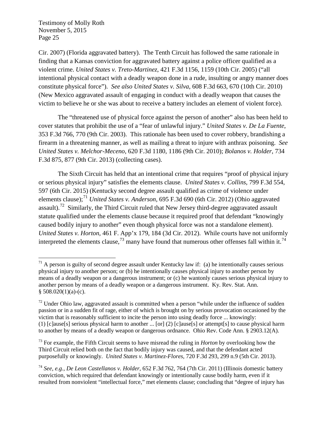Cir. 2007) (Florida aggravated battery). The Tenth Circuit has followed the same rationale in finding that a Kansas conviction for aggravated battery against a police officer qualified as a violent crime. *United States v. Treto-Martinez*, 421 F.3d 1156, 1159 (10th Cir. 2005) ("all intentional physical contact with a deadly weapon done in a rude, insulting or angry manner does constitute physical force"). *See also United States v. Silva*, 608 F.3d 663, 670 (10th Cir. 2010) (New Mexico aggravated assault of engaging in conduct with a deadly weapon that causes the victim to believe he or she was about to receive a battery includes an element of violent force).

The "threatened use of physical force against the person of another" also has been held to cover statutes that prohibit the use of a "fear of unlawful injury." *United States v. De La Fuente*, 353 F.3d 766, 770 (9th Cir. 2003). This rationale has been used to cover robbery, brandishing a firearm in a threatening manner, as well as mailing a threat to injure with anthrax poisoning. *See United States v. Melchor-Meceno*, 620 F.3d 1180, 1186 (9th Cir. 2010); *Bolanos v. Holder*, 734 F.3d 875, 877 (9th Cir. 2013) (collecting cases).

The Sixth Circuit has held that an intentional crime that requires "proof of physical injury or serious physical injury" satisfies the elements clause. *United States v. Collins*, 799 F.3d 554, 597 (6th Cir. 2015) (Kentucky second degree assault qualified as crime of violence under elements clause);<sup>71</sup> *United States v. Anderson*, 695 F.3d 690 (6th Cir. 2012) (Ohio aggravated assault).<sup>72</sup> Similarly, the Third Circuit ruled that New Jersey third-degree aggravated assault statute qualified under the elements clause because it required proof that defendant "knowingly caused bodily injury to another" even though physical force was not a standalone element). *United States v. Horton*, 461 F. App'x 179, 184 (3d Cir. 2012). While courts have not uniformly interpreted the elements clause,<sup>73</sup> many have found that numerous other offenses fall within it.<sup>74</sup>

 $71$  A person is guilty of second degree assault under Kentucky law if: (a) he intentionally causes serious physical injury to another person; or (b) he intentionally causes physical injury to another person by means of a deadly weapon or a dangerous instrument; or (c) he wantonly causes serious physical injury to another person by means of a deadly weapon or a dangerous instrument. Ky. Rev. Stat. Ann.  $$508.020(1)(a)-(c).$ 

 $<sup>72</sup>$  Under Ohio law, aggravated assault is committed when a person "while under the influence of sudden</sup> passion or in a sudden fit of rage, either of which is brought on by serious provocation occasioned by the victim that is reasonably sufficient to incite the person into using deadly force ... knowingly: (1) [c]ause[s] serious physical harm to another ... [or] (2) [c]ause[s] or attempt[s] to cause physical harm to another by means of a deadly weapon or dangerous ordnance. Ohio Rev. Code Ann. § 2903.12(A).

<sup>73</sup> For example, the Fifth Circuit seems to have misread the ruling in *Horton* by overlooking how the Third Circuit relied both on the fact that bodily injury was caused, and that the defendant acted purposefully or knowingly. *United States v. Martinez-Flores,* 720 F.3d 293, 299 n.9 (5th Cir. 2013).

<sup>74</sup> *See*, *e.g.*, *De Leon Castellanos v. Holder*, 652 F.3d 762, 764 (7th Cir. 2011) (Illinois domestic battery conviction, which required that defendant knowingly or intentionally cause bodily harm, even if it resulted from nonviolent "intellectual force," met elements clause; concluding that "degree of injury has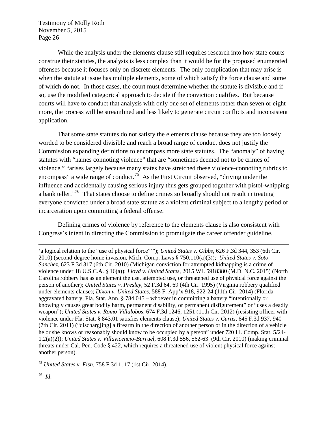While the analysis under the elements clause still requires research into how state courts construe their statutes, the analysis is less complex than it would be for the proposed enumerated offenses because it focuses only on discrete elements. The only complication that may arise is when the statute at issue has multiple elements, some of which satisfy the force clause and some of which do not. In those cases, the court must determine whether the statute is divisible and if so, use the modified categorical approach to decide if the conviction qualifies. But because courts will have to conduct that analysis with only one set of elements rather than seven or eight more, the process will be streamlined and less likely to generate circuit conflicts and inconsistent application.

That some state statutes do not satisfy the elements clause because they are too loosely worded to be considered divisible and reach a broad range of conduct does not justify the Commission expanding definitions to encompass more state statutes. The "anomaly" of having statutes with "names connoting violence" that are "sometimes deemed not to be crimes of violence," "arises largely because many states have stretched these violence-connoting rubrics to encompass" a wide range of conduct.<sup>75</sup> As the First Circuit observed, "driving under the influence and accidentally causing serious injury thus gets grouped together with pistol-whipping a bank teller."<sup>76</sup> That states choose to define crimes so broadly should not result in treating everyone convicted under a broad state statute as a violent criminal subject to a lengthy period of incarceration upon committing a federal offense.

Defining crimes of violence by reference to the elements clause is also consistent with Congress's intent in directing the Commission to promulgate the career offender guideline.

<sup>75</sup> *United States v. Fish*, 758 F.3d 1, 17 (1st Cir. 2014).

 $\overline{a}$ 

<sup>&#</sup>x27;a logical relation to the "use of physical force"'"); *United States v. Gibbs*, 626 F.3d 344, 353 (6th Cir. 2010) (second-degree home invasion, Mich. Comp. Laws § 750.110(a)(3)); *United States v. Soto-Sanchez*, 623 F.3d 317 (6th Cir. 2010) (Michigan conviction for attempted kidnapping is a crime of violence under 18 U.S.C.A. § 16(a)); *Lloyd v. United States*, 2015 WL 5918380 (M.D. N.C. 2015) (North Carolina robbery has as an element the use, attempted use, or threatened use of physical force against the person of another); *United States v. Presley*, 52 F.3d 64, 69 (4th Cir. 1995) (Virginia robbery qualified under elements clause); *Dixon v. United States*, 588 F. App'x 918, 922-24 (11th Cir. 2014) (Florida aggravated battery, Fla. Stat. Ann. § 784.045 – whoever in committing a battery "intentionally or knowingly causes great bodily harm, permanent disability, or permanent disfigurement" or "uses a deadly weapon"); *United States v. Romo-Villalobos,* 674 F.3d 1246, 1251 (11th Cir. 2012) (resisting officer with violence under Fla. Stat. § 843.01 satisfies elements clause); *United States v. Curtis*, 645 F.3d 937, 940 (7th Cir. 2011) ("discharg[ing] a firearm in the direction of another person or in the direction of a vehicle he or she knows or reasonably should know to be occupied by a person" under 720 Ill. Comp. Stat. 5/24- 1.2(a)(2)); *United States v. Villavicencio-Burruel*, 608 F.3d 556, 562-63 (9th Cir. 2010) (making criminal threats under Cal. Pen. Code § 422, which requires a threatened use of violent physical force against another person).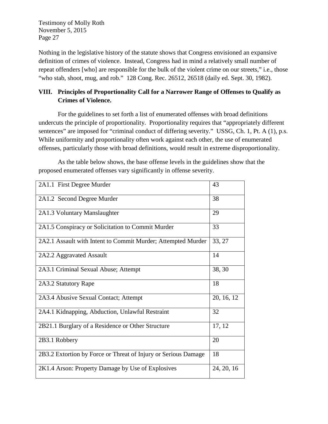Nothing in the legislative history of the statute shows that Congress envisioned an expansive definition of crimes of violence. Instead, Congress had in mind a relatively small number of repeat offenders [who] are responsible for the bulk of the violent crime on our streets," i.e., those "who stab, shoot, mug, and rob." 128 Cong. Rec. 26512, 26518 (daily ed. Sept. 30, 1982).

# **VIII. Principles of Proportionality Call for a Narrower Range of Offenses to Qualify as Crimes of Violence.**

For the guidelines to set forth a list of enumerated offenses with broad definitions undercuts the principle of proportionality. Proportionality requires that "appropriately different sentences" are imposed for "criminal conduct of differing severity." USSG, Ch. 1, Pt. A (1), p.s. While uniformity and proportionality often work against each other, the use of enumerated offenses, particularly those with broad definitions, would result in extreme disproportionality.

2A1.1 First Degree Murder 143 2A1.2 Second Degree Murder 38 2A1.3 Voluntary Manslaughter 29 2A1.5 Conspiracy or Solicitation to Commit Murder 33 2A2.1 Assault with Intent to Commit Murder; Attempted Murder  $\vert$  33, 27 2A2.2 Aggravated Assault 14 2A3.1 Criminal Sexual Abuse; Attempt 38, 30 2A3.2 Statutory Rape 18 2A3.4 Abusive Sexual Contact; Attempt 20, 16, 12 2A4.1 Kidnapping, Abduction, Unlawful Restraint 32 2B21.1 Burglary of a Residence or Other Structure 17, 12 2B3.1 Robbery 20 2B3.2 Extortion by Force or Threat of Injury or Serious Damage 18 2K1.4 Arson: Property Damage by Use of Explosives 24, 20, 16

As the table below shows, the base offense levels in the guidelines show that the proposed enumerated offenses vary significantly in offense severity.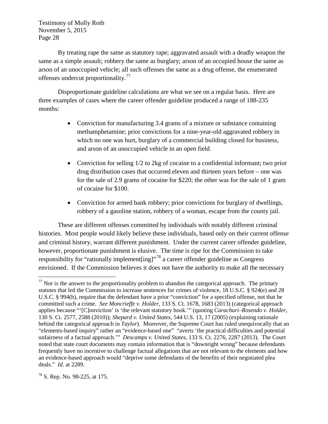By treating rape the same as statutory rape; aggravated assault with a deadly weapon the same as a simple assault; robbery the same as burglary; arson of an occupied house the same as arson of an unoccupied vehicle; all such offenses the same as a drug offense, the enumerated offenses undercut proportionality.77

Disproportionate guideline calculations are what we see on a regular basis. Here are three examples of cases where the career offender guideline produced a range of 188-235 months:

- Conviction for manufacturing 3.4 grams of a mixture or substance containing methamphetamine; prior convictions for a nine-year-old aggravated robbery in which no one was hurt, burglary of a commercial building closed for business, and arson of an unoccupied vehicle in an open field.
- Conviction for selling  $1/2$  to  $2kg$  of cocaine to a confidential informant; two prior drug distribution cases that occurred eleven and thirteen years before – one was for the sale of 2.9 grams of cocaine for \$220; the other was for the sale of 1 gram of cocaine for \$100.
- Conviction for armed bank robbery; prior convictions for burglary of dwellings, robbery of a gasoline station, robbery of a woman, escape from the county jail.

These are different offenses committed by individuals with notably different criminal histories. Most people would likely believe these individuals, based only on their current offense and criminal history, warrant different punishment. Under the current career offender guideline, however, proportionate punishment is elusive. The time is ripe for the Commission to take responsibility for "rationally implement $\left[\text{ing}\right]$ "<sup>78</sup> a career offender guideline as Congress envisioned. If the Commission believes it does not have the authority to make all the necessary

<sup>78</sup> S. Rep. No. 98-225, at 175.

 $77$  Nor is the answer to the proportionality problem to abandon the categorical approach. The primary statutes that led the Commission to increase sentences for crimes of violence, 18 U.S.C. § 924(e) and 28 U.S.C. § 994(h), require that the defendant have a prior "conviction" for a specified offense, not that he committed such a crime. *See Moncrieffe v. Holder*, 133 S. Ct. 1678, 1683 (2013) (categorical approach applies because "'[C]onviction' is 'the relevant statutory hook.'" (quoting *Carachuri–Rosendo v. Holder*, 130 S. Ct. 2577, 2588 (2010)); *Shepard v. United States*, 544 U.S. 13, 17 (2005) (explaining rationale behind the categorical approach in *Taylor*). Moreover, the Supreme Court has ruled unequivocally that an "elements-based inquiry" rather an "evidence-based one" "averts 'the practical difficulties and potential unfairness of a factual approach.'" *Descamps v. United States*, 133 S. Ct. 2276, 2287 (2013). The Court noted that state court documents may contain information that is "downright wrong" because defendants frequently have no incentive to challenge factual allegations that are not relevant to the elements and how an evidence-based approach would "deprive some defendants of the benefits of their negotiated plea deals." *Id*. at 2289.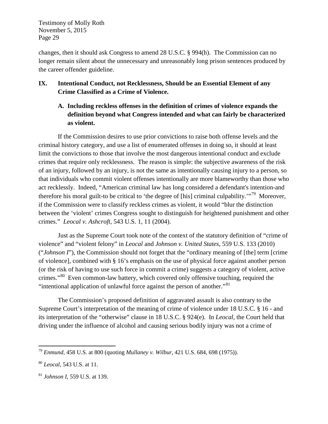changes, then it should ask Congress to amend 28 U.S.C. § 994(h). The Commission can no longer remain silent about the unnecessary and unreasonably long prison sentences produced by the career offender guideline.

### **IX. Intentional Conduct, not Recklessness, Should be an Essential Element of any Crime Classified as a Crime of Violence.**

**A. Including reckless offenses in the definition of crimes of violence expands the definition beyond what Congress intended and what can fairly be characterized as violent.** 

If the Commission desires to use prior convictions to raise both offense levels and the criminal history category, and use a list of enumerated offenses in doing so, it should at least limit the convictions to those that involve the most dangerous intentional conduct and exclude crimes that require only recklessness. The reason is simple: the subjective awareness of the risk of an injury, followed by an injury, is not the same as intentionally causing injury to a person, so that individuals who commit violent offenses intentionally are more blameworthy than those who act recklessly. Indeed, "American criminal law has long considered a defendant's intention-and therefore his moral guilt-to be critical to 'the degree of [his] criminal culpability.'"<sup>79</sup> Moreover, if the Commission were to classify reckless crimes as violent, it would "blur the distinction between the 'violent' crimes Congress sought to distinguish for heightened punishment and other crimes." *Leocal v. Ashcroft*, 543 U.S. 1, 11 (2004).

Just as the Supreme Court took note of the context of the statutory definition of "crime of violence" and "violent felony" in *Leocal* and *Johnson v. United States*, 559 U.S. 133 (2010) ("*Johnson I*"), the Commission should not forget that the "ordinary meaning of [the] term [crime of violence], combined with § 16's emphasis on the use of physical force against another person (or the risk of having to use such force in commit a crime) suggests a category of violent, active crimes."<sup>80</sup> Even common-law battery, which covered only offensive touching, required the "intentional application of unlawful force against the person of another."<sup>81</sup>

The Commission's proposed definition of aggravated assault is also contrary to the Supreme Court's interpretation of the meaning of crime of violence under 18 U.S.C. § 16 - and its interpretation of the "otherwise" clause in 18 U.S.C. § 924(e). In *Leocal*, the Court held that driving under the influence of alcohol and causing serious bodily injury was not a crime of

 <sup>79</sup> *Enmund,* 458 U.S. at 800 (quoting *Mullaney v. Wilbur*, 421 U.S. 684, 698 (1975)).

<sup>80</sup> *Leocal*, 543 U.S. at 11.

<sup>81</sup> *Johnson I*, 559 U.S. at 139.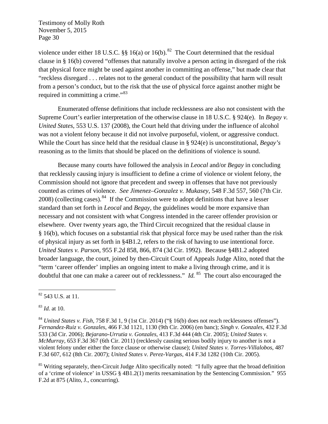violence under either 18 U.S.C. §§ 16(a) or 16(b).<sup>82</sup> The Court determined that the residual clause in § 16(b) covered "offenses that naturally involve a person acting in disregard of the risk that physical force might be used against another in committing an offense," but made clear that "reckless disregard . . . relates not to the general conduct of the possibility that harm will result from a person's conduct, but to the risk that the use of physical force against another might be required in committing a crime."<sup>83</sup>

Enumerated offense definitions that include recklessness are also not consistent with the Supreme Court's earlier interpretation of the otherwise clause in 18 U.S.C. § 924(e). In *Begay v. United States*, 553 U.S. 137 (2008), the Court held that driving under the influence of alcohol was not a violent felony because it did not involve purposeful, violent, or aggressive conduct. While the Court has since held that the residual clause in § 924(e) is unconstitutional, *Begay's*  reasoning as to the limits that should be placed on the definitions of violence is sound.

Because many courts have followed the analysis in *Leocal* and/or *Begay* in concluding that recklessly causing injury is insufficient to define a crime of violence or violent felony, the Commission should not ignore that precedent and sweep in offenses that have not previously counted as crimes of violence. *See Jimenez–Gonzalez v. Mukasey*, 548 F.3d 557, 560 (7th Cir.  $2008$ ) (collecting cases).<sup>84</sup> If the Commission were to adopt definitions that have a lesser standard than set forth in *Leocal* and *Begay*, the guidelines would be more expansive than necessary and not consistent with what Congress intended in the career offender provision or elsewhere. Over twenty years ago, the Third Circuit recognized that the residual clause in § 16(b), which focuses on a substantial risk that physical force may be used rather than the risk of physical injury as set forth in §4B1.2, refers to the risk of having to use intentional force. *United States v. Parson*, 955 F.2d 858, 866, 874 (3d Cir. 1992). Because §4B1.2 adopted broader language, the court, joined by then-Circuit Court of Appeals Judge Alito, noted that the "term 'career offender' implies an ongoing intent to make a living through crime, and it is doubtful that one can make a career out of recklessness." *Id.* <sup>85</sup> The court also encouraged the

 <sup>82</sup> 543 U.S. at 11.

<sup>83</sup> *Id.* at 10.

<sup>84</sup> *United States v. Fish*, 758 F.3d 1, 9 (1st Cir. 2014) ("§ 16(b) does not reach recklessness offenses"). *Fernandez-Ruiz v. Gonzales*, 466 F.3d 1121, 1130 (9th Cir. 2006) (en banc); *Singh v. Gonzales*, 432 F.3d 533 (3d Cir. 2006); *Bejarano-Urrutia v. Gonzales*, 413 F.3d 444 (4th Cir. 2005); *United States v. McMurray*, 653 F.3d 367 (6th Cir. 2011) (recklessly causing serious bodily injury to another is not a violent felony under either the force clause or otherwise clause); *United States v. Torres-Villalobos*, 487 F.3d 607, 612 (8th Cir. 2007); *United States v. Perez-Vargas*, 414 F.3d 1282 (10th Cir. 2005).

<sup>&</sup>lt;sup>85</sup> Writing separately, then-Circuit Judge Alito specifically noted: "I fully agree that the broad definition of a 'crime of violence' in USSG § 4B1.2(1) merits reexamination by the Sentencing Commission." 955 F.2d at 875 (Alito, J., concurring).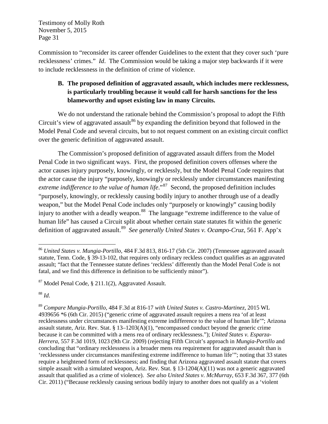Commission to "reconsider its career offender Guidelines to the extent that they cover such 'pure recklessness' crimes." *Id*. The Commission would be taking a major step backwards if it were to include recklessness in the definition of crime of violence.

# **B. The proposed definition of aggravated assault, which includes mere recklessness, is particularly troubling because it would call for harsh sanctions for the less blameworthy and upset existing law in many Circuits.**

We do not understand the rationale behind the Commission's proposal to adopt the Fifth Circuit's view of aggravated assault<sup>86</sup> by expanding the definition beyond that followed in the Model Penal Code and several circuits, but to not request comment on an existing circuit conflict over the generic definition of aggravated assault.

The Commission's proposed definition of aggravated assault differs from the Model Penal Code in two significant ways. First, the proposed definition covers offenses where the actor causes injury purposely, knowingly, or recklessly, but the Model Penal Code requires that the actor cause the injury "purposely, knowingly or recklessly under circumstances manifesting *extreme indifference to the value of human life*."<sup>87</sup> Second, the proposed definition includes "purposely, knowingly, or recklessly causing bodily injury to another through use of a deadly weapon," but the Model Penal Code includes only "purposely or knowingly" causing bodily injury to another with a deadly weapon.<sup>88</sup> The language "extreme indifference to the value of human life" has caused a Circuit split about whether certain state statutes fit within the generic definition of aggravated assault.<sup>89</sup> *See generally United States v. Ocampo-Cruz*, 561 F. App'x

<sup>87</sup> Model Penal Code, § 211.1(2), Aggravated Assault.

<sup>88</sup> *Id*.

 <sup>86</sup> *United States v. Mungia-Portillo,* 484 F.3d 813, 816-17 (5th Cir. 2007) (Tennessee aggravated assault statute, Tenn. Code, § 39-13-102, that requires only ordinary reckless conduct qualifies as an aggravated assault; "fact that the Tennessee statute defines 'reckless' differently than the Model Penal Code is not fatal, and we find this difference in definition to be sufficiently minor").

<sup>89</sup> *Compare Mungia-Portillo,* 484 F.3d at 816-17 *with United States v. Castro-Martinez*, 2015 WL 4939656 \*6 (6th Cir. 2015) ("generic crime of aggravated assault requires a mens rea 'of at least recklessness under circumstances manifesting extreme indifference to the value of human life'"; Arizona assault statute, Ariz. Rev. Stat. §  $13-1203(A)(1)$ , "encompassed conduct beyond the generic crime because it can be committed with a mens rea of ordinary recklessness."); *United States v. Esparza-Herrera*, 557 F.3d 1019, 1023 (9th Cir. 2009) (rejecting Fifth Circuit's approach in *Mungia-Portillo* and concluding that "ordinary recklessness is a broader mens rea requirement for aggravated assault than is 'recklessness under circumstances manifesting extreme indifference to human life'"; noting that 33 states require a heightened form of recklessness; and finding that Arizona aggravated assault statute that covers simple assault with a simulated weapon, Ariz. Rev. Stat. § 13-1204(A)(11) was not a generic aggravated assault that qualified as a crime of violence). *See also United States v. McMurray*, 653 F.3d 367, 377 (6th Cir. 2011) ("Because recklessly causing serious bodily injury to another does not qualify as a 'violent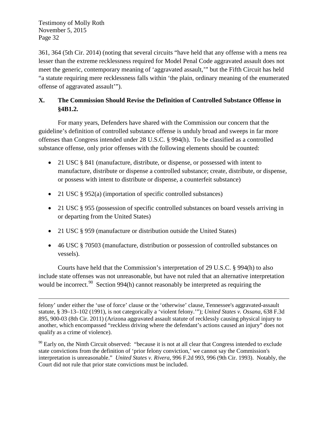$\overline{a}$ 

361, 364 (5th Cir. 2014) (noting that several circuits "have held that any offense with a mens rea lesser than the extreme recklessness required for Model Penal Code aggravated assault does not meet the generic, contemporary meaning of 'aggravated assault,'" but the Fifth Circuit has held "a statute requiring mere recklessness falls within 'the plain, ordinary meaning of the enumerated offense of aggravated assault'").

## **X. The Commission Should Revise the Definition of Controlled Substance Offense in §4B1.2.**

For many years, Defenders have shared with the Commission our concern that the guideline's definition of controlled substance offense is unduly broad and sweeps in far more offenses than Congress intended under 28 U.S.C. § 994(h). To be classified as a controlled substance offense, only prior offenses with the following elements should be counted:

- 21 USC § 841 (manufacture, distribute, or dispense, or possessed with intent to manufacture, distribute or dispense a controlled substance; create, distribute, or dispense, or possess with intent to distribute or dispense, a counterfeit substance)
- 21 USC § 952(a) (importation of specific controlled substances)
- 21 USC § 955 (possession of specific controlled substances on board vessels arriving in or departing from the United States)
- 21 USC § 959 (manufacture or distribution outside the United States)
- 46 USC § 70503 (manufacture, distribution or possession of controlled substances on vessels).

Courts have held that the Commission's interpretation of 29 U.S.C. § 994(h) to also include state offenses was not unreasonable, but have not ruled that an alternative interpretation would be incorrect.<sup>90</sup> Section 994(h) cannot reasonably be interpreted as requiring the

felony' under either the 'use of force' clause or the 'otherwise' clause, Tennessee's aggravated-assault statute, § 39–13–102 (1991), is not categorically a 'violent felony.'"); *United States v. Ossana*, 638 F.3d 895, 900-03 (8th Cir. 2011) (Arizona aggravated assault statute of recklessly causing physical injury to another, which encompassed "reckless driving where the defendant's actions caused an injury" does not qualify as a crime of violence).

 $90$  Early on, the Ninth Circuit observed: "because it is not at all clear that Congress intended to exclude state convictions from the definition of 'prior felony conviction,' we cannot say the Commission's interpretation is unreasonable." *United States v. Rivera*, 996 F.2d 993, 996 (9th Cir. 1993). Notably, the Court did not rule that prior state convictions must be included.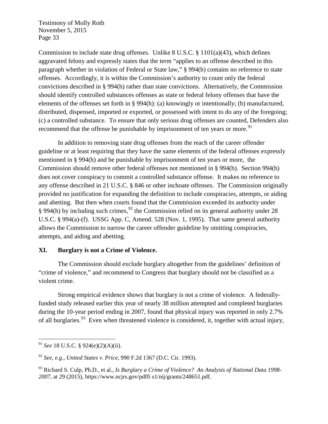Commission to include state drug offenses. Unlike 8 U.S.C.  $\S 1101(a)(43)$ , which defines aggravated felony and expressly states that the term "applies to an offense described in this paragraph whether in violation of Federal or State law," § 994(h) contains no reference to state offenses. Accordingly, it is within the Commission's authority to count only the federal convictions described in § 994(h) rather than state convictions. Alternatively, the Commission should identify controlled substances offenses as state or federal felony offenses that have the elements of the offenses set forth in § 994(h): (a) knowingly or intentionally; (b) manufactured, distributed, dispensed, imported or exported, or possessed with intent to do any of the foregoing; (c) a controlled substance. To ensure that only serious drug offenses are counted, Defenders also recommend that the offense be punishable by imprisonment of ten years or more.<sup>91</sup>

In addition to removing state drug offenses from the reach of the career offender guideline or at least requiring that they have the same elements of the federal offenses expressly mentioned in § 994(h) and be punishable by imprisonment of ten years or more, the Commission should remove other federal offenses not mentioned in § 994(h). Section 994(h) does not cover conspiracy to commit a controlled substance offense. It makes no reference to any offense described in 21 U.S.C. § 846 or other inchoate offenses. The Commission originally provided no justification for expanding the definition to include conspiracies, attempts, or aiding and abetting. But then when courts found that the Commission exceeded its authority under § 994(h) by including such crimes,  $^{92}$  the Commission relied on its general authority under 28 U.S.C. § 994(a)-(f). USSG App. C, Amend. 528 (Nov. 1, 1995). That same general authority allows the Commission to narrow the career offender guideline by omitting conspiracies, attempts, and aiding and abetting.

#### **XI. Burglary is not a Crime of Violence.**

The Commission should exclude burglary altogether from the guidelines' definition of "crime of violence," and recommend to Congress that burglary should not be classified as a violent crime.

Strong empirical evidence shows that burglary is not a crime of violence. A federallyfunded study released earlier this year of nearly 38 million attempted and completed burglaries during the 10-year period ending in 2007, found that physical injury was reported in only 2.7% of all burglaries.  $93$  Even when threatened violence is considered, it, together with actual injury,

 <sup>91</sup> *See* 18 U.S.C. § 924(e)(2)(A)(ii).

<sup>92</sup> *See*, *e.g.*, *United States v. Price*, 990 F.2d 1367 (D.C. Cir. 1993).

<sup>93</sup> Richard S. Culp, Ph.D., et al., *Is Burglary a Crime of Violence? An Analysis of National Data 1998- 2007*, at 29 (2015), https://www.ncjrs.gov/pdffi s1/nij/grants/248651.pdf.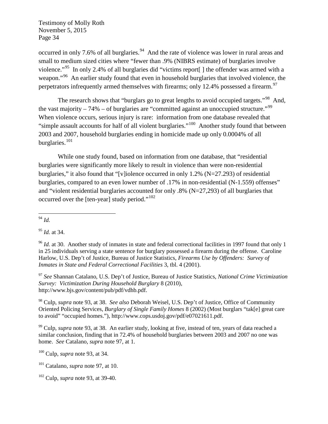occurred in only 7.6% of all burglaries.<sup>94</sup> And the rate of violence was lower in rural areas and small to medium sized cities where "fewer than .9% (NIBRS estimate) of burglaries involve violence."95 In only 2.4% of all burglaries did "victims report[ ] the offender was armed with a weapon."<sup>96</sup> An earlier study found that even in household burglaries that involved violence, the perpetrators infrequently armed themselves with firearms; only 12.4% possessed a firearm.<sup>97</sup>

The research shows that "burglars go to great lengths to avoid occupied targets."<sup>98</sup> And, the vast majority – 74% – of burglaries are "committed against an unoccupied structure."<sup>99</sup> When violence occurs, serious injury is rare: information from one database revealed that "simple assault accounts for half of all violent burglaries."100 Another study found that between 2003 and 2007, household burglaries ending in homicide made up only 0.0004% of all burglaries.<sup>101</sup>

While one study found, based on information from one database, that "residential burglaries were significantly more likely to result in violence than were non-residential burglaries," it also found that "[v]iolence occurred in only 1.2% (N=27.293) of residential burglaries, compared to an even lower number of .17% in non-residential (N-1.559) offenses" and "violent residential burglaries accounted for only .8% (N=27,293) of all burglaries that occurred over the [ten-year] study period."<sup>102</sup>

<sup>95</sup> *Id.* at 34.

<sup>97</sup> *See* Shannan Catalano, U.S. Dep't of Justice, Bureau of Justice Statistics, *National Crime Victimization Survey: Victimization During Household Burglary* 8 (2010), http://www.bjs.gov/content/pub/pdf/vdhb.pdf.

<sup>98</sup> Culp, *supra* note 93, at 38. *See also* Deborah Weisel, U.S. Dep't of Justice, Office of Community Oriented Policing Services, *Burglary of Single Family Homes* 8 (2002) (Most burglars "tak[e] great care to avoid" "occupied homes."), http://www.cops.usdoj.gov/pdf/e07021611.pdf.

<sup>99</sup> Culp, *supra* note 93, at 38. An earlier study, looking at five, instead of ten, years of data reached a similar conclusion, finding that in 72.4% of household burglaries between 2003 and 2007 no one was home. *See* Catalano, *supra* note 97, at 1.

<sup>100</sup> Culp, *supra* note 93, at 34.

 <sup>94</sup> *Id.*

<sup>&</sup>lt;sup>96</sup> *Id.* at 30. Another study of inmates in state and federal correctional facilities in 1997 found that only 1 in 25 individuals serving a state sentence for burglary possessed a firearm during the offense. Caroline Harlow, U.S. Dep't of Justice, Bureau of Justice Statistics, *Firearms Use by Offenders: Survey of Inmates in State and Federal Correctional Facilities* 3, tbl. 4 (2001).

<sup>101</sup> Catalano, *supra* note 97, at 10.

<sup>102</sup> Culp, *supra* note 93, at 39-40.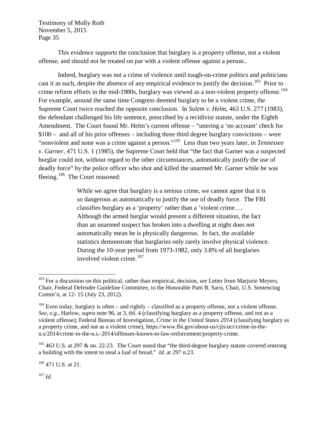This evidence supports the conclusion that burglary is a property offense, not a violent offense, and should not be treated on par with a violent offense against a person..

Indeed, burglary was not a crime of violence until tough-on-crime politics and politicians cast it as such, despite the absence of any empirical evidence to justify the decision.<sup>103</sup> Prior to crime reform efforts in the mid-1980s, burglary was viewed as a non-violent property offense.<sup>104</sup> For example, around the same time Congress deemed burglary to be a violent crime, the Supreme Court twice reached the opposite conclusion. In *Solem v. Helm*, 463 U.S. 277 (1983), the defendant challenged his life sentence, prescribed by a recidivist statute, under the Eighth Amendment. The Court found Mr. Helm's current offense – "uttering a 'no account' check for \$100 – and all of his prior offenses – including three third degree burglary convictions – were "nonviolent and none was a crime against a person."105 Less than two years later, in *Tennessee v. Garner*, 471 U.S. 1 (1985), the Supreme Court held that "the fact that Garner was a suspected burglar could not, without regard to the other circumstances, automatically justify the use of deadly force" by the police officer who shot and killed the unarmed Mr. Garner while he was fleeing.<sup>106</sup> The Court reasoned:

> While we agree that burglary is a serious crime, we cannot agree that it is so dangerous as automatically to justify the use of deadly force. The FBI classifies burglary as a 'property' rather than a 'violent crime…. Although the armed burglar would present a different situation, the fact than an unarmed suspect has broken into a dwelling at night does not automatically mean he is physically dangerous. In fact, the available statistics demonstrate that burglaries only rarely involve physical violence. During the 10-year period from 1973-1982, only 3.8% of all burglaries involved violent crime. $107$

 $105$  463 U.S. at 297 & nn. 22-23. The Court noted that "the third-degree burglary statute covered entering a building with the intent to steal a loaf of bread." *Id.* at 297 n.23.

 $106$  471 U.S. at 21.

<sup>107</sup> *Id.*

 <sup>103</sup> For a discussion on this political, rather than empirical, decision, *see* Letter from Marjorie Meyers, Chair, Federal Defender Guideline Committee, to the Honorable Patti B. Saris, Chair, U.S. Sentencing Comm'n, at 12- 15 (July 23, 2012).

 $104$  Even today, burglary is often – and rightly – classified as a property offense, not a violent offense. *See*, *e.g.*, Harlow, *supra* note 96, at 3, tbl. 4 (classifying burglary as a property offense, and not as a violent offense); Federal Bureau of Investigation, *Crime in the United States 2014* (classifying burglary as a property crime, and not as a violent crime), https://www.fbi.gov/about-us/cjis/ucr/crime-in-theu.s/2014/crime-in-the-u.s.-2014/offenses-known-to-law-enforcement/property-crime.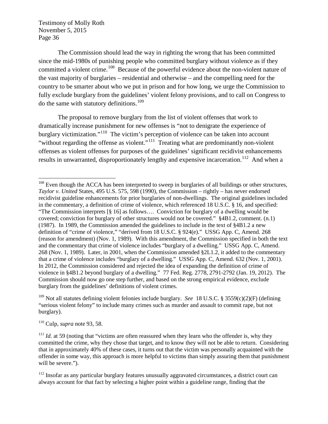The Commission should lead the way in righting the wrong that has been committed since the mid-1980s of punishing people who committed burglary without violence as if they committed a violent crime.<sup>108</sup> Because of the powerful evidence about the non-violent nature of the vast majority of burglaries – residential and otherwise – and the compelling need for the country to be smarter about who we put in prison and for how long, we urge the Commission to fully exclude burglary from the guidelines' violent felony provisions, and to call on Congress to do the same with statutory definitions.<sup>109</sup>

The proposal to remove burglary from the list of violent offenses that work to dramatically increase punishment for new offenses is "not to denigrate the experience of burglary victimization."<sup>110</sup> The victim's perception of violence can be taken into account "without regarding the offense as violent."<sup>111</sup> Treating what are predominantly non-violent offenses as violent offenses for purposes of the guidelines' significant recidivist enhancements results in unwarranted, disproportionately lengthy and expensive incarceration.<sup>112</sup> And when a

<sup>110</sup> Culp, *supra* note 93, 58.

<sup>&</sup>lt;sup>108</sup> Even though the ACCA has been interpreted to sweep in burglaries of all buildings or other structures, *Taylor v. United* States, 495 U.S. 575, 598 (1990), the Commission – rightly – has never endorsed recidivist guideline enhancements for prior burglaries of non-dwellings. The original guidelines included in the commentary, a definition of crime of violence, which referenced 18 U.S.C. § 16, and specified: "The Commission interprets [§ 16] as follows…. Conviction for burglary of a dwelling would be covered; conviction for burglary of other structures would not be covered." §4B1.2, comment. (n.1) (1987). In 1989, the Commission amended the guidelines to include in the text of §4B1.2 a new definition of "crime of violence," "derived from 18 U.S.C. § 924(e)." USSG App. C, Amend. 268 (reason for amendment) (Nov. 1, 1989). With this amendment, the Commission specified in both the text and the commentary that crime of violence includes "burglary of a dwelling." USSG App. C, Amend. 268 (Nov. 1, 1989). Later, in 2001, when the Commission amended §2L1.2, it added to the commentary that a crime of violence includes "burglary of a dwelling." USSG App. C, Amend. 632 (Nov. 1, 2001). In 2012, the Commission considered and rejected the idea of expanding the definition of crime of violence in §4B1.2 beyond burglary of a dwelling." 77 Fed. Reg. 2778, 2791-2792 (Jan. 19, 2012). The Commission should now go one step further, and based on the strong empirical evidence, exclude burglary from the guidelines' definitions of violent crimes.

<sup>109</sup> Not all statutes defining violent felonies include burglary. *See* 18 U.S.C. § 3559(c)(2)(F) (defining "serious violent felony" to include many crimes such as murder and assault to commit rape, but not burglary).

 $111$  *Id.* at 59 (noting that "victims are often reassured when they learn who the offender is, why they committed the crime, why they chose that target, and to know they will not be able to return. Considering that in approximately 40% of these cases, it turns out that the victim was personally acquainted with the offender in some way, this approach is more helpful to victims than simply assuring them that punishment will be severe.").

<sup>&</sup>lt;sup>112</sup> Insofar as any particular burglary features unusually aggravated circumstances, a district court can always account for that fact by selecting a higher point within a guideline range, finding that the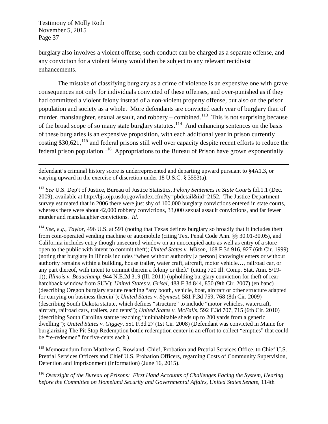burglary also involves a violent offense, such conduct can be charged as a separate offense, and any conviction for a violent felony would then be subject to any relevant recidivist enhancements.

The mistake of classifying burglary as a crime of violence is an expensive one with grave consequences not only for individuals convicted of these offenses, and over-punished as if they had committed a violent felony instead of a non-violent property offense, but also on the prison population and society as a whole. More defendants are convicted each year of burglary than of murder, manslaughter, sexual assault, and robbery – combined.<sup>113</sup> This is not surprising because of the broad scope of so many state burglary statutes.<sup>114</sup>And enhancing sentences on the basis of these burglaries is an expensive proposition, with each additional year in prison currently costing  $$30,621$ ,  $^{115}$  and federal prisons still well over capacity despite recent efforts to reduce the federal prison population.<sup>116</sup> Appropriations to the Bureau of Prison have grown exponentially

 $\overline{a}$ defendant's criminal history score is underrepresented and departing upward pursuant to §4A1.3, or varying upward in the exercise of discretion under 18 U.S.C. § 3553(a).

<sup>113</sup> *See* U.S. Dep't of Justice, Bureau of Justice Statistics, *Felony Sentences in State Courts* tbl.1.1 (Dec. 2009), available at http://bjs.ojp.usdoj.gov/index.cfm?ty=pbdetail&iid=2152. The Justice Department survey estimated that in 2006 there were just shy of 100,000 burglary convictions entered in state courts, whereas there were about 42,000 robbery convictions, 33,000 sexual assault convictions, and far fewer murder and manslaughter convictions. *Id.* 

<sup>114</sup> *See*, *e.g.*, *Taylor*, 496 U.S. at 591 (noting that Texas defines burglary so broadly that it includes theft from coin-operated vending machine or automobile (citing Tex. Penal Code Ann. §§ 30.01-30.05), and California includes entry though unsecured window on an unoccupied auto as well as entry of a store open to the public with intent to commit theft); *United States v. Wilson*, 168 F.3d 916, 927 (6th Cir. 1999) (noting that burglary in Illinois includes "when without authority [a person] knowingly enters or without authority remains within a building, house trailer, water craft, aircraft, motor vehicle…, railroad car, or any part thereof, with intent to commit therein a felony or theft" (citing 720 Ill. Comp. Stat. Ann. 5/19- 1)); *Illinois v. Beauchamp*, 944 N.E.2d 319 (Ill. 2011) (upholding burglary conviction for theft of rear hatchback window from SUV); *United States v. Grisel*, 488 F.3d 844, 850 (9th Cir. 2007) (en banc) (describing Oregon burglary statute reaching "any booth, vehicle, boat, aircraft or other structure adapted for carrying on business therein"); *United States v. Stymiest*, 581 F.3d 759, 768 (8th Cir. 2009) (describing South Dakota statute, which defines "structure" to include "motor vehicles, watercraft, aircraft, railroad cars, trailers, and tents"); *United States v. McFalls*, 592 F.3d 707, 715 (6th Cir. 2010) (describing South Carolina statute reaching "uninhabitable sheds up to 200 yards from a generic dwelling"); *United States v. Giggey*, 551 F.3d 27 (1st Cir. 2008) (Defendant was convicted in Maine for burglarizing The Pit Stop Redemption bottle redemption center in an effort to collect "empties" that could be "re-redeemed" for five-cents each.).

<sup>115</sup> Memorandum from Matthew G. Rowland, Chief, Probation and Pretrial Services Office, to Chief U.S. Pretrial Services Officers and Chief U.S. Probation Officers, regarding Costs of Community Supervision, Detention and Imprisonment (Information) (June 16, 2015).

<sup>116</sup> *Oversight of the Bureau of Prisons: First Hand Accounts of Challenges Facing the System, Hearing before the Committee on Homeland Security and Governmental Affairs, United States Senate*, 114th